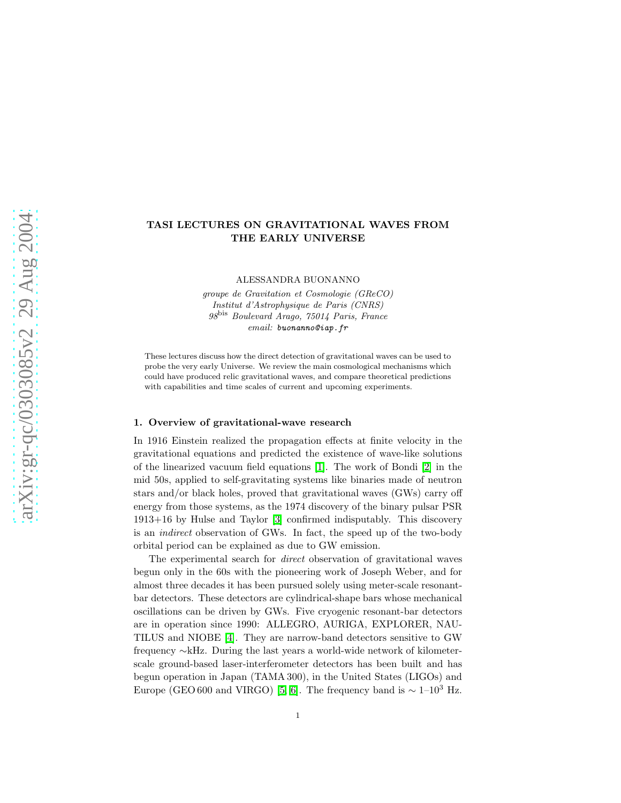# TASI LECTURES ON GRAVITATIONAL WAVES FROM THE EARLY UNIVERSE

ALESSANDRA BUONANNO

*groupe de Gravitation et Cosmologie (GReCO) Institut d'Astrophysique de Paris (CNRS) 98*bis *Boulevard Arago, 75014 Paris, France email:* buonanno@iap.fr

These lectures discuss how the direct detection of gravitational waves can be used to probe the very early Universe. We review the main cosmological mechanisms which could have produced relic gravitational waves, and compare theoretical predictions with capabilities and time scales of current and upcoming experiments.

### 1. Overview of gravitational-wave research

In 1916 Einstein realized the propagation effects at finite velocity in the gravitational equations and predicted the existence of wave-like solutions of the linearized vacuum field equations [\[1\]](#page-33-0). The work of Bondi [\[2\]](#page-33-1) in the mid 50s, applied to self-gravitating systems like binaries made of neutron stars and/or black holes, proved that gravitational waves (GWs) carry off energy from those systems, as the 1974 discovery of the binary pulsar PSR 1913+16 by Hulse and Taylor [\[3\]](#page-33-2) confirmed indisputably. This discovery is an indirect observation of GWs. In fact, the speed up of the two-body orbital period can be explained as due to GW emission.

The experimental search for *direct* observation of gravitational waves begun only in the 60s with the pioneering work of Joseph Weber, and for almost three decades it has been pursued solely using meter-scale resonantbar detectors. These detectors are cylindrical-shape bars whose mechanical oscillations can be driven by GWs. Five cryogenic resonant-bar detectors are in operation since 1990: ALLEGRO, AURIGA, EXPLORER, NAU-TILUS and NIOBE [\[4\]](#page-33-3). They are narrow-band detectors sensitive to GW frequency ∼kHz. During the last years a world-wide network of kilometerscale ground-based laser-interferometer detectors has been built and has begun operation in Japan (TAMA 300), in the United States (LIGOs) and Europe (GEO 600 and VIRGO) [\[5,](#page-33-4) [6\]](#page-33-5). The frequency band is  $\sim 1-10^3$  Hz.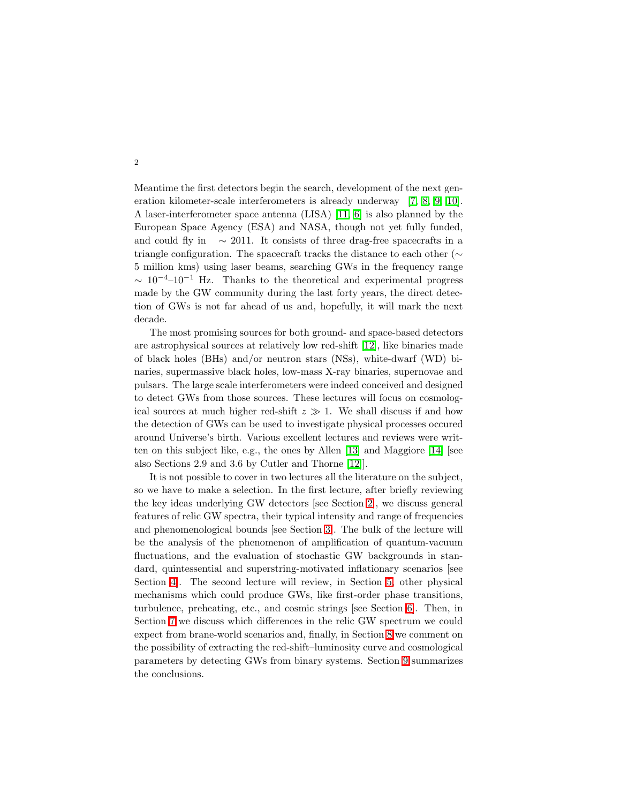Meantime the first detectors begin the search, development of the next generation kilometer-scale interferometers is already underway [\[7,](#page-33-6) [8,](#page-33-7) [9,](#page-34-0) [10\]](#page-34-1). A laser-interferometer space antenna (LISA) [\[11,](#page-34-2) [6\]](#page-33-5) is also planned by the European Space Agency (ESA) and NASA, though not yet fully funded, and could fly in  $\sim 2011$ . It consists of three drag-free spacecrafts in a triangle configuration. The spacecraft tracks the distance to each other (∼ 5 million kms) using laser beams, searching GWs in the frequency range  $\sim 10^{-4}$ –10<sup>-1</sup> Hz. Thanks to the theoretical and experimental progress made by the GW community during the last forty years, the direct detection of GWs is not far ahead of us and, hopefully, it will mark the next decade.

The most promising sources for both ground- and space-based detectors are astrophysical sources at relatively low red-shift [\[12\]](#page-34-3), like binaries made of black holes (BHs) and/or neutron stars (NSs), white-dwarf (WD) binaries, supermassive black holes, low-mass X-ray binaries, supernovae and pulsars. The large scale interferometers were indeed conceived and designed to detect GWs from those sources. These lectures will focus on cosmological sources at much higher red-shift  $z \gg 1$ . We shall discuss if and how the detection of GWs can be used to investigate physical processes occured around Universe's birth. Various excellent lectures and reviews were written on this subject like, e.g., the ones by Allen [\[13\]](#page-34-4) and Maggiore [\[14\]](#page-34-5) [see also Sections 2.9 and 3.6 by Cutler and Thorne [\[12\]](#page-34-3)].

It is not possible to cover in two lectures all the literature on the subject, so we have to make a selection. In the first lecture, after briefly reviewing the key ideas underlying GW detectors [see Section [2\]](#page-2-0), we discuss general features of relic GW spectra, their typical intensity and range of frequencies and phenomenological bounds [see Section [3\]](#page-3-0). The bulk of the lecture will be the analysis of the phenomenon of amplification of quantum-vacuum fluctuations, and the evaluation of stochastic GW backgrounds in standard, quintessential and superstring-motivated inflationary scenarios [see Section [4\]](#page-9-0). The second lecture will review, in Section [5,](#page-25-0) other physical mechanisms which could produce GWs, like first-order phase transitions, turbulence, preheating, etc., and cosmic strings [see Section [6\]](#page-26-0). Then, in Section [7](#page-29-0) we discuss which differences in the relic GW spectrum we could expect from brane-world scenarios and, finally, in Section [8](#page-31-0) we comment on the possibility of extracting the red-shift–luminosity curve and cosmological parameters by detecting GWs from binary systems. Section [9](#page-32-0) summarizes the conclusions.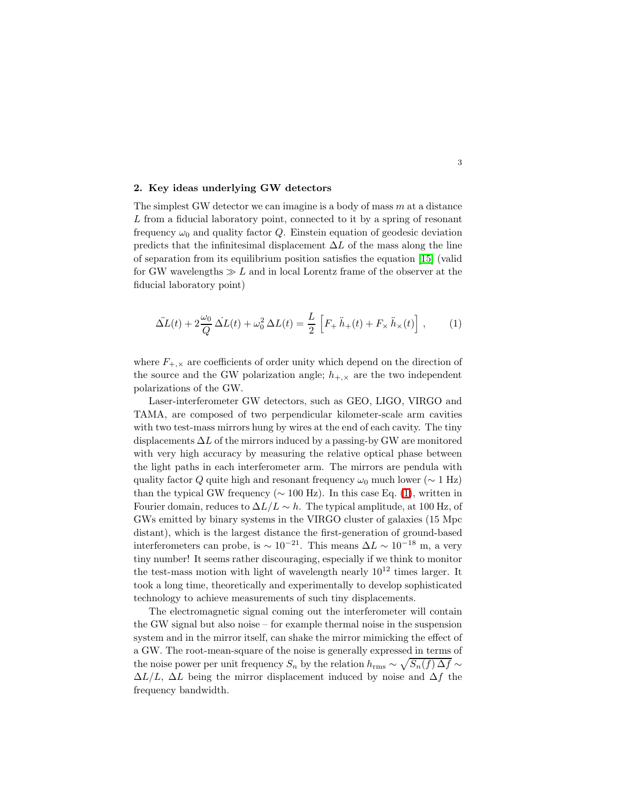# <span id="page-2-0"></span>2. Key ideas underlying GW detectors

The simplest GW detector we can imagine is a body of mass  $m$  at a distance L from a fiducial laboratory point, connected to it by a spring of resonant frequency  $\omega_0$  and quality factor Q. Einstein equation of geodesic deviation predicts that the infinitesimal displacement  $\Delta L$  of the mass along the line of separation from its equilibrium position satisfies the equation [\[15\]](#page-34-6) (valid for GW wavelengths  $\gg L$  and in local Lorentz frame of the observer at the fiducial laboratory point)

<span id="page-2-1"></span>
$$
\Delta L(t) + 2\frac{\omega_0}{Q} \Delta L(t) + \omega_0^2 \Delta L(t) = \frac{L}{2} \left[ F_+ \ddot{h}_+(t) + F_\times \ddot{h}_\times(t) \right],\tag{1}
$$

where  $F_{+,\times}$  are coefficients of order unity which depend on the direction of the source and the GW polarization angle;  $h_{+,\times}$  are the two independent polarizations of the GW.

Laser-interferometer GW detectors, such as GEO, LIGO, VIRGO and TAMA, are composed of two perpendicular kilometer-scale arm cavities with two test-mass mirrors hung by wires at the end of each cavity. The tiny displacements  $\Delta L$  of the mirrors induced by a passing-by GW are monitored with very high accuracy by measuring the relative optical phase between the light paths in each interferometer arm. The mirrors are pendula with quality factor Q quite high and resonant frequency  $\omega_0$  much lower ( $\sim 1$  Hz) than the typical GW frequency ( $\sim 100$  Hz). In this case Eq. [\(1\)](#page-2-1), written in Fourier domain, reduces to  $\Delta L/L \sim h$ . The typical amplitude, at 100 Hz, of GWs emitted by binary systems in the VIRGO cluster of galaxies (15 Mpc distant), which is the largest distance the first-generation of ground-based interferometers can probe, is <sup>∼</sup> <sup>10</sup>−<sup>21</sup>. This means ∆<sup>L</sup> <sup>∼</sup> <sup>10</sup>−<sup>18</sup> m, a very tiny number! It seems rather discouraging, especially if we think to monitor the test-mass motion with light of wavelength nearly  $10^{12}$  times larger. It took a long time, theoretically and experimentally to develop sophisticated technology to achieve measurements of such tiny displacements.

The electromagnetic signal coming out the interferometer will contain the GW signal but also noise – for example thermal noise in the suspension system and in the mirror itself, can shake the mirror mimicking the effect of a GW. The root-mean-square of the noise is generally expressed in terms of the noise power per unit frequency  $S_n$  by the relation  $h_{\rm rms} \sim \sqrt{S_n(f) \Delta f} \sim$  $\Delta L/L$ ,  $\Delta L$  being the mirror displacement induced by noise and  $\Delta f$  the frequency bandwidth.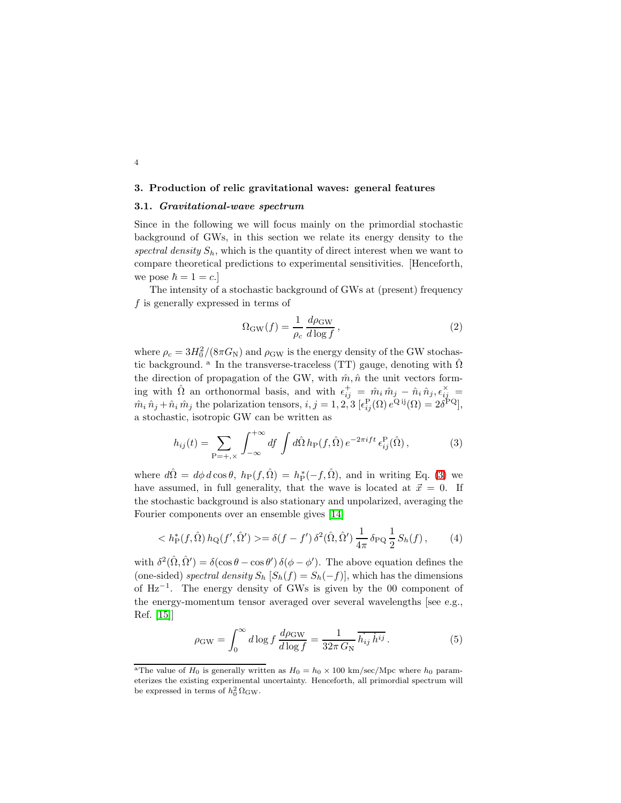## <span id="page-3-4"></span><span id="page-3-0"></span>3. Production of relic gravitational waves: general features

# 3.1. Gravitational-wave spectrum

4

Since in the following we will focus mainly on the primordial stochastic background of GWs, in this section we relate its energy density to the spectral density  $S_h$ , which is the quantity of direct interest when we want to compare theoretical predictions to experimental sensitivities. [Henceforth, we pose  $\hbar = 1 = c$ .

<span id="page-3-3"></span>The intensity of a stochastic background of GWs at (present) frequency f is generally expressed in terms of

$$
\Omega_{\rm GW}(f) = \frac{1}{\rho_c} \frac{d\rho_{\rm GW}}{d\log f},\qquad(2)
$$

where  $\rho_c = 3H_0^2/(8\pi G_N)$  and  $\rho_{\rm GW}$  is the energy density of the GW stochastic background. <sup>a</sup> In the transverse-traceless (TT) gauge, denoting with  $\hat{\Omega}$ the direction of propagation of the GW, with  $\hat{m}, \hat{n}$  the unit vectors forming with  $\hat{\Omega}$  an orthonormal basis, and with  $\epsilon_{ij}^+ = \hat{m}_i \hat{m}_j - \hat{n}_i \hat{n}_j$ ,  $\epsilon_{ij}^{\times} =$  $\hat{m}_i \hat{n}_j + \hat{n}_i \hat{m}_j$  the polarization tensors,  $i, j = 1, 2, 3$   $[\epsilon_{ij}^{\text{P}}(\Omega) e^{\text{Q ij}}(\Omega) = 2\delta^{\text{PQ}}],$ a stochastic, isotropic GW can be written as

$$
h_{ij}(t) = \sum_{\mathbf{P} = +,\times} \int_{-\infty}^{+\infty} df \int d\hat{\Omega} h_{\mathbf{P}}(f,\hat{\Omega}) e^{-2\pi i f t} \epsilon_{ij}^{\mathbf{P}}(\hat{\Omega}), \tag{3}
$$

<span id="page-3-1"></span>where  $d\hat{\Omega} = d\phi \, d\cos\theta$ ,  $h_P(f, \hat{\Omega}) = h_P^*(-f, \hat{\Omega})$ , and in writing Eq. [\(3\)](#page-3-1) we have assumed, in full generality, that the wave is located at  $\vec{x} = 0$ . If the stochastic background is also stationary and unpolarized, averaging the Fourier components over an ensemble gives [\[14\]](#page-34-5)

$$
\langle h_{\rm P}^*(f, \hat{\Omega}) h_{\rm Q}(f', \hat{\Omega}') \rangle = \delta(f - f') \, \delta^2(\hat{\Omega}, \hat{\Omega}') \, \frac{1}{4\pi} \, \delta_{\rm PQ} \, \frac{1}{2} \, S_h(f) \,, \tag{4}
$$

<span id="page-3-2"></span>with  $\delta^2(\hat{\Omega}, \hat{\Omega}') = \delta(\cos \theta - \cos \theta') \, \delta(\phi - \phi')$ . The above equation defines the (one-sided) spectral density  $S_h$   $[S_h(f) = S_h(-f)]$ , which has the dimensions of Hz−<sup>1</sup> . The energy density of GWs is given by the 00 component of the energy-momentum tensor averaged over several wavelengths [see e.g., Ref. [\[15\]](#page-34-6)]

$$
\rho_{\rm GW} = \int_0^\infty d\log f \, \frac{d\rho_{\rm GW}}{d\log f} = \frac{1}{32\pi \, G_{\rm N}} \, \overline{h_{ij} \, h^{ij}} \,. \tag{5}
$$

<sup>&</sup>lt;sup>a</sup>The value of H<sub>0</sub> is generally written as  $H_0 = h_0 \times 100 \text{ km/sec/Mpc}$  where  $h_0$  parameterizes the existing experimental uncertainty. Henceforth, all primordial spectrum will be expressed in terms of  $h_0^2 \Omega_{\text{GW}}$ .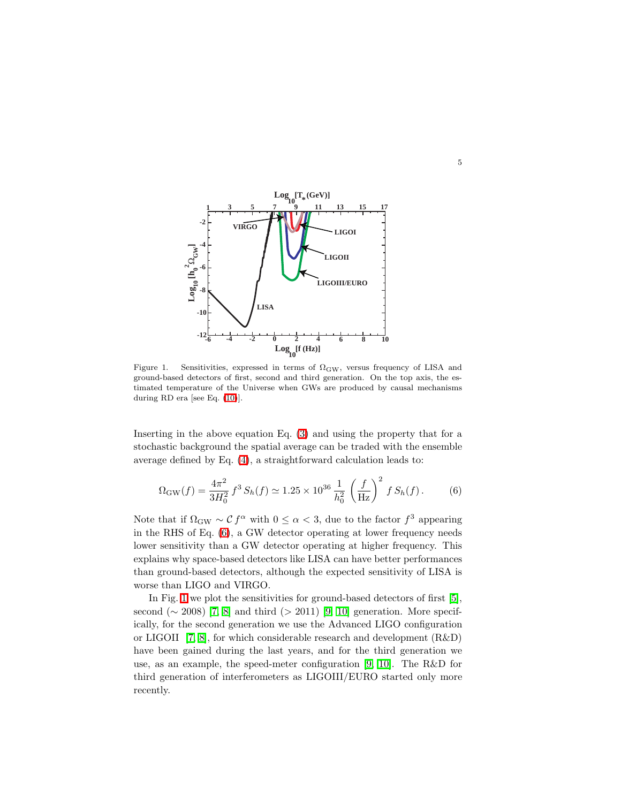

5

<span id="page-4-1"></span>Figure 1. Sensitivities, expressed in terms of  $\Omega_{\rm GW}$ , versus frequency of LISA and ground-based detectors of first, second and third generation. On the top axis, the estimated temperature of the Universe when GWs are produced by causal mechanisms during RD era [see Eq. [\(10\)](#page-7-0)].

<span id="page-4-0"></span>Inserting in the above equation Eq. [\(3\)](#page-3-1) and using the property that for a stochastic background the spatial average can be traded with the ensemble average defined by Eq. [\(4\)](#page-3-2), a straightforward calculation leads to:

$$
\Omega_{\rm GW}(f) = \frac{4\pi^2}{3H_0^2} f^3 S_h(f) \simeq 1.25 \times 10^{36} \frac{1}{h_0^2} \left(\frac{f}{\rm Hz}\right)^2 f S_h(f). \tag{6}
$$

Note that if  $\Omega_{\rm GW} \sim C f^{\alpha}$  with  $0 \leq \alpha < 3$ , due to the factor  $f^3$  appearing in the RHS of Eq. [\(6\)](#page-4-0), a GW detector operating at lower frequency needs lower sensitivity than a GW detector operating at higher frequency. This explains why space-based detectors like LISA can have better performances than ground-based detectors, although the expected sensitivity of LISA is worse than LIGO and VIRGO.

In Fig. [1](#page-4-1) we plot the sensitivities for ground-based detectors of first [\[5\]](#page-33-4), second ( $\sim$  2008) [\[7,](#page-33-6) [8\]](#page-33-7) and third (> 2011) [\[9,](#page-34-0) [10\]](#page-34-1) generation. More specifically, for the second generation we use the Advanced LIGO configuration or LIGOII [\[7,](#page-33-6) [8\]](#page-33-7), for which considerable research and development (R&D) have been gained during the last years, and for the third generation we use, as an example, the speed-meter configuration [\[9,](#page-34-0) [10\]](#page-34-1). The R&D for third generation of interferometers as LIGOIII/EURO started only more recently.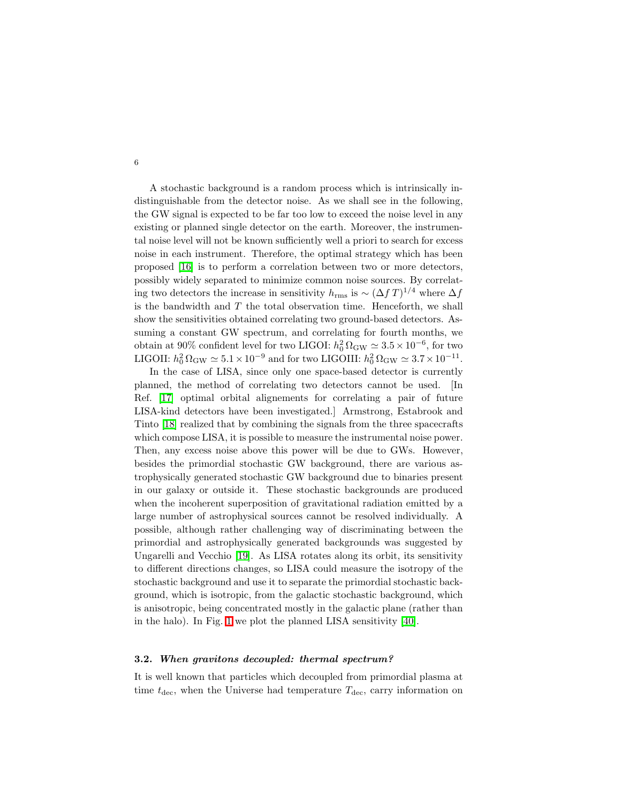A stochastic background is a random process which is intrinsically indistinguishable from the detector noise. As we shall see in the following, the GW signal is expected to be far too low to exceed the noise level in any existing or planned single detector on the earth. Moreover, the instrumental noise level will not be known sufficiently well a priori to search for excess noise in each instrument. Therefore, the optimal strategy which has been proposed [\[16\]](#page-34-7) is to perform a correlation between two or more detectors, possibly widely separated to minimize common noise sources. By correlating two detectors the increase in sensitivity  $h_{\text{rms}}$  is  $\sim (\Delta f T)^{1/4}$  where  $\Delta f$ is the bandwidth and  $T$  the total observation time. Henceforth, we shall show the sensitivities obtained correlating two ground-based detectors. Assuming a constant GW spectrum, and correlating for fourth months, we obtain at 90% confident level for two LIGOI:  $h_0^2 \Omega_{\rm GW} \simeq 3.5 \times 10^{-6}$ , for two LIGOII:  $h_0^2 \Omega_{\rm GW} \simeq 5.1 \times 10^{-9}$  and for two LIGOIII:  $h_0^2 \Omega_{\rm GW} \simeq 3.7 \times 10^{-11}$ .

In the case of LISA, since only one space-based detector is currently planned, the method of correlating two detectors cannot be used. [In Ref. [\[17\]](#page-34-8) optimal orbital alignements for correlating a pair of future LISA-kind detectors have been investigated.] Armstrong, Estabrook and Tinto [\[18\]](#page-34-9) realized that by combining the signals from the three spacecrafts which compose LISA, it is possible to measure the instrumental noise power. Then, any excess noise above this power will be due to GWs. However, besides the primordial stochastic GW background, there are various astrophysically generated stochastic GW background due to binaries present in our galaxy or outside it. These stochastic backgrounds are produced when the incoherent superposition of gravitational radiation emitted by a large number of astrophysical sources cannot be resolved individually. A possible, although rather challenging way of discriminating between the primordial and astrophysically generated backgrounds was suggested by Ungarelli and Vecchio [\[19\]](#page-34-10). As LISA rotates along its orbit, its sensitivity to different directions changes, so LISA could measure the isotropy of the stochastic background and use it to separate the primordial stochastic background, which is isotropic, from the galactic stochastic background, which is anisotropic, being concentrated mostly in the galactic plane (rather than in the halo). In Fig. [1](#page-4-1) we plot the planned LISA sensitivity [\[40\]](#page-35-0).

# 3.2. When gravitons decoupled: thermal spectrum?

It is well known that particles which decoupled from primordial plasma at time  $t_{\text{dec}}$ , when the Universe had temperature  $T_{\text{dec}}$ , carry information on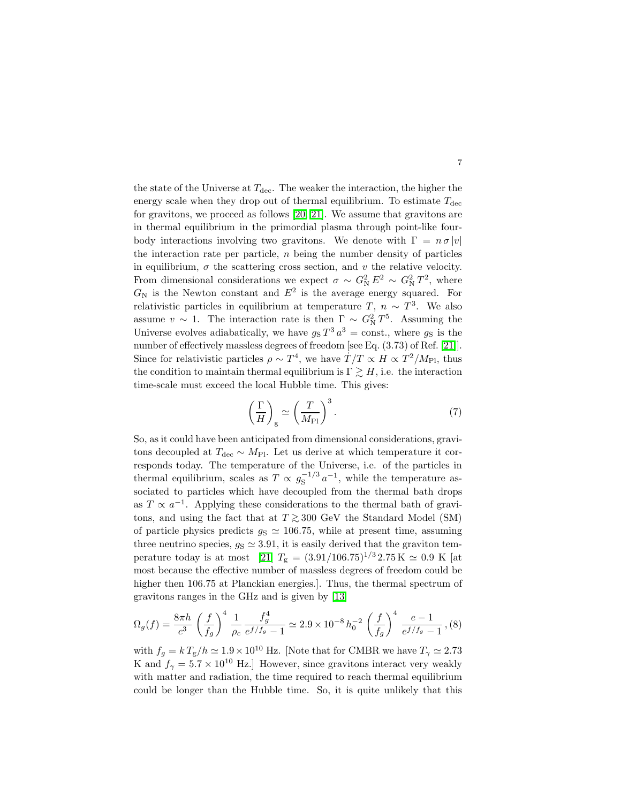the state of the Universe at  $T_{\text{dec}}$ . The weaker the interaction, the higher the energy scale when they drop out of thermal equilibrium. To estimate  $T_{\text{dec}}$ for gravitons, we proceed as follows [\[20,](#page-34-11) [21\]](#page-34-12). We assume that gravitons are in thermal equilibrium in the primordial plasma through point-like fourbody interactions involving two gravitons. We denote with  $\Gamma = n \sigma |v|$ the interaction rate per particle,  $n$  being the number density of particles in equilibrium,  $\sigma$  the scattering cross section, and v the relative velocity. From dimensional considerations we expect  $\sigma \sim G_{\rm N}^2 E^2 \sim G_{\rm N}^2 T^2$ , where  $G_N$  is the Newton constant and  $E^2$  is the average energy squared. For relativistic particles in equilibrium at temperature  $T, n \sim T^3$ . We also assume  $v \sim 1$ . The interaction rate is then  $\Gamma \sim G_N^2 T^5$ . Assuming the Universe evolves adiabatically, we have  $g_S T^3 a^3 = \text{const.}$ , where  $g_S$  is the number of effectively massless degrees of freedom [see Eq. (3.73) of Ref. [\[21\]](#page-34-12)]. Since for relativistic particles  $\rho \sim T^4$ , we have  $\dot{T}/T \propto H \propto T^2/M_{\rm Pl}$ , thus the condition to maintain thermal equilibrium is  $\Gamma \geq H$ , i.e. the interaction time-scale must exceed the local Hubble time. This gives:

$$
\left(\frac{\Gamma}{H}\right)_{\rm g} \simeq \left(\frac{T}{M_{\rm Pl}}\right)^3.
$$
\n(7)

7

So, as it could have been anticipated from dimensional considerations, gravitons decoupled at  $T_{\text{dec}} \sim M_{\text{Pl}}$ . Let us derive at which temperature it corresponds today. The temperature of the Universe, i.e. of the particles in thermal equilibrium, scales as  $T \propto g_S^{-1/3} a^{-1}$ , while the temperature associated to particles which have decoupled from the thermal bath drops as  $T \propto a^{-1}$ . Applying these considerations to the thermal bath of gravitons, and using the fact that at  $T \gtrsim 300 \text{ GeV}$  the Standard Model (SM) of particle physics predicts  $g_S \simeq 106.75$ , while at present time, assuming three neutrino species,  $g_S \simeq 3.91$ , it is easily derived that the graviton tem-perature today is at most [\[21\]](#page-34-12)  $T_{\rm g} = (3.91/106.75)^{1/3} 2.75 \,\rm K \simeq 0.9 \,\rm K$  [at most because the effective number of massless degrees of freedom could be higher then 106.75 at Planckian energies.]. Thus, the thermal spectrum of gravitons ranges in the GHz and is given by [\[13\]](#page-34-4)

$$
\Omega_g(f) = \frac{8\pi h}{c^3} \left(\frac{f}{f_g}\right)^4 \frac{1}{\rho_c} \frac{f_g^4}{e^{f/f_g} - 1} \simeq 2.9 \times 10^{-8} h_0^{-2} \left(\frac{f}{f_g}\right)^4 \frac{e - 1}{e^{f/f_g} - 1}, (8)
$$

with  $f_g = k T_{\rm g}/h \simeq 1.9 \times 10^{10}$  Hz. [Note that for CMBR we have  $T_{\gamma} \simeq 2.73$ K and  $f_{\gamma} = 5.7 \times 10^{10}$  Hz. However, since gravitons interact very weakly with matter and radiation, the time required to reach thermal equilibrium could be longer than the Hubble time. So, it is quite unlikely that this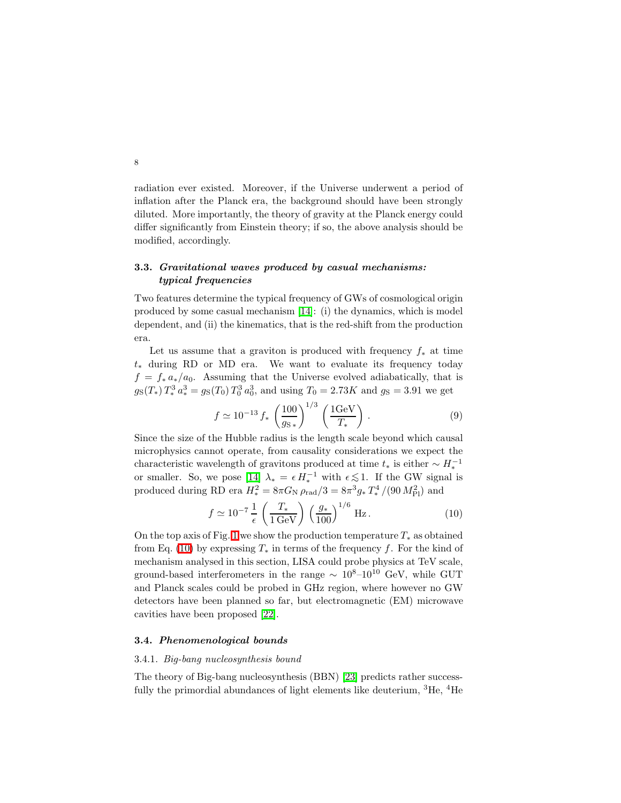radiation ever existed. Moreover, if the Universe underwent a period of inflation after the Planck era, the background should have been strongly diluted. More importantly, the theory of gravity at the Planck energy could differ significantly from Einstein theory; if so, the above analysis should be modified, accordingly.

# 3.3. Gravitational waves produced by casual mechanisms: typical frequencies

Two features determine the typical frequency of GWs of cosmological origin produced by some casual mechanism [\[14\]](#page-34-5): (i) the dynamics, which is model dependent, and (ii) the kinematics, that is the red-shift from the production era.

Let us assume that a graviton is produced with frequency  $f_*$  at time t<sup>∗</sup> during RD or MD era. We want to evaluate its frequency today  $f = f_* a_*/a_0$ . Assuming that the Universe evolved adiabatically, that is  $g_S(T_*) T_*^3 a_*^3 = g_S(T_0) T_0^3 a_0^3$ , and using  $T_0 = 2.73K$  and  $g_S = 3.91$  we get

$$
f \simeq 10^{-13} f_* \left(\frac{100}{g_{\rm s}}\right)^{1/3} \left(\frac{1 \,\text{GeV}}{T_*}\right) \,. \tag{9}
$$

Since the size of the Hubble radius is the length scale beyond which causal microphysics cannot operate, from causality considerations we expect the characteristic wavelength of gravitons produced at time  $t_*$  is either  $\sim H_*^{-1}$ or smaller. So, we pose  $[14]$   $\lambda_* = \epsilon H_*^{-1}$  with  $\epsilon \lesssim 1$ . If the GW signal is produced during RD era  $H_*^2 = 8\pi G_\text{N} \rho_\text{rad}/3 = 8\pi^3 g_* T_*^4$ <sup>'4</sup>/(90  $M_{\rm Pl}^2$ ) and

$$
f \simeq 10^{-7} \frac{1}{\epsilon} \left(\frac{T_*}{1 \,\text{GeV}}\right) \left(\frac{g_*}{100}\right)^{1/6} \,\text{Hz} \,. \tag{10}
$$

<span id="page-7-0"></span>On the top axis of Fig. [1](#page-4-1) we show the production temperature  $T_*$  as obtained from Eq. [\(10\)](#page-7-0) by expressing  $T_*$  in terms of the frequency f. For the kind of mechanism analysed in this section, LISA could probe physics at TeV scale, ground-based interferometers in the range  $\sim 10^{8}-10^{10}$  GeV, while GUT and Planck scales could be probed in GHz region, where however no GW detectors have been planned so far, but electromagnetic (EM) microwave cavities have been proposed [\[22\]](#page-34-13).

## <span id="page-7-1"></span>3.4. Phenomenological bounds

# 3.4.1. Big-bang nucleosynthesis bound

The theory of Big-bang nucleosynthesis (BBN) [\[23\]](#page-34-14) predicts rather successfully the primordial abundances of light elements like deuterium,  ${}^{3}$ He,  ${}^{4}$ He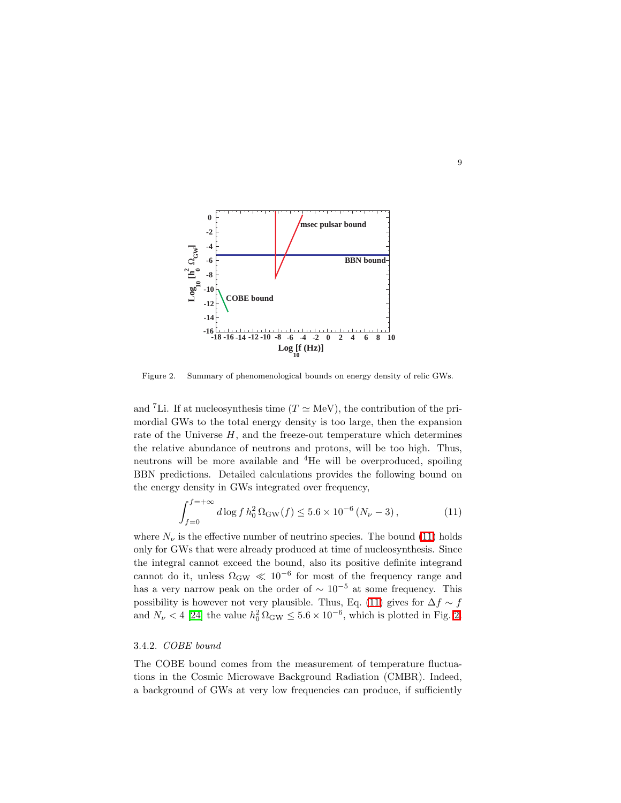

<span id="page-8-1"></span>Figure 2. Summary of phenomenological bounds on energy density of relic GWs.

and <sup>7</sup>Li. If at nucleosynthesis time ( $T \simeq \text{MeV}$ ), the contribution of the primordial GWs to the total energy density is too large, then the expansion rate of the Universe  $H$ , and the freeze-out temperature which determines the relative abundance of neutrons and protons, will be too high. Thus, neutrons will be more available and <sup>4</sup>He will be overproduced, spoiling BBN predictions. Detailed calculations provides the following bound on the energy density in GWs integrated over frequency,

$$
\int_{f=0}^{f=+\infty} d\log f \, h_0^2 \, \Omega_{\rm GW}(f) \le 5.6 \times 10^{-6} \left( N_\nu - 3 \right),\tag{11}
$$

<span id="page-8-0"></span>where  $N_{\nu}$  is the effective number of neutrino species. The bound [\(11\)](#page-8-0) holds only for GWs that were already produced at time of nucleosynthesis. Since the integral cannot exceed the bound, also its positive definite integrand cannot do it, unless  $\Omega_{\rm GW} \ll 10^{-6}$  for most of the frequency range and has a very narrow peak on the order of  $\sim 10^{-5}$  at some frequency. This possibility is however not very plausible. Thus, Eq. [\(11\)](#page-8-0) gives for  $\Delta f \sim f$ and  $N_{\nu}$  < 4 [\[24\]](#page-34-15) the value  $h_0^2 \Omega_{\rm GW} \leq 5.6 \times 10^{-6}$ , which is plotted in Fig. [2.](#page-8-1)

# <span id="page-8-2"></span>3.4.2. COBE bound

The COBE bound comes from the measurement of temperature fluctuations in the Cosmic Microwave Background Radiation (CMBR). Indeed, a background of GWs at very low frequencies can produce, if sufficiently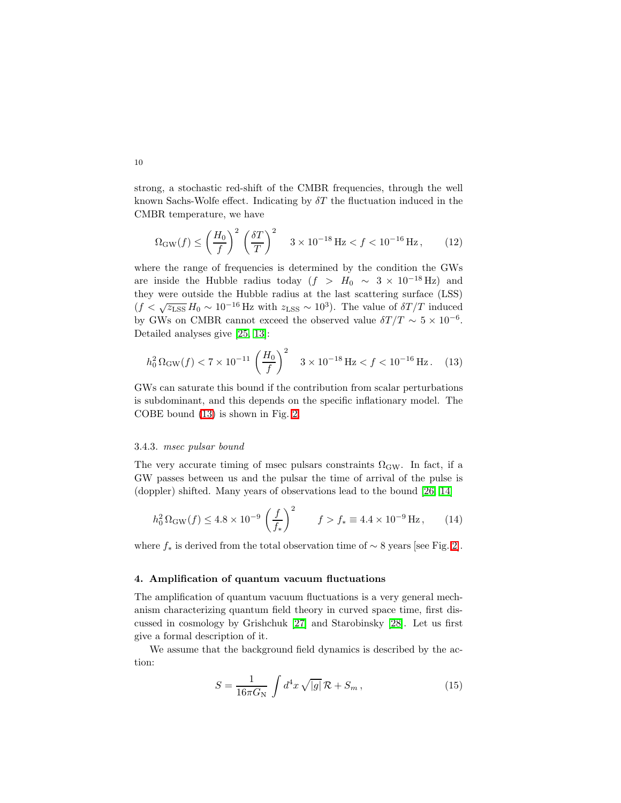strong, a stochastic red-shift of the CMBR frequencies, through the well known Sachs-Wolfe effect. Indicating by  $\delta T$  the fluctuation induced in the CMBR temperature, we have

$$
\Omega_{\rm GW}(f) \le \left(\frac{H_0}{f}\right)^2 \left(\frac{\delta T}{T}\right)^2 \quad 3 \times 10^{-18} \,\text{Hz} < f < 10^{-16} \,\text{Hz},\tag{12}
$$

where the range of frequencies is determined by the condition the GWs are inside the Hubble radius today  $(f > H_0 \sim 3 \times 10^{-18}$  Hz) and they were outside the Hubble radius at the last scattering surface (LSS)  $(f < \sqrt{z_{\text{LSS}}} H_0 \sim 10^{-16} \text{ Hz}$  with  $z_{\text{LSS}} \sim 10^3$ ). The value of  $\delta T/T$  induced by GWs on CMBR cannot exceed the observed value  $\delta T/T \sim 5 \times 10^{-6}$ . Detailed analyses give [\[25,](#page-34-16) [13\]](#page-34-4):

<span id="page-9-1"></span>
$$
h_0^2 \Omega_{\rm GW}(f) < 7 \times 10^{-11} \left(\frac{H_0}{f}\right)^2 \quad 3 \times 10^{-18} \,\text{Hz} < f < 10^{-16} \,\text{Hz} \,. \tag{13}
$$

GWs can saturate this bound if the contribution from scalar perturbations is subdominant, and this depends on the specific inflationary model. The COBE bound [\(13\)](#page-9-1) is shown in Fig. [2.](#page-8-1)

# <span id="page-9-2"></span>3.4.3. msec pulsar bound

The very accurate timing of msec pulsars constraints  $\Omega_{\rm GW}$ . In fact, if a GW passes between us and the pulsar the time of arrival of the pulse is (doppler) shifted. Many years of observations lead to the bound [\[26,](#page-34-17) [14\]](#page-34-5)

$$
h_0^2 \Omega_{\rm GW}(f) \le 4.8 \times 10^{-9} \left(\frac{f}{f_*}\right)^2 \qquad f > f_* \equiv 4.4 \times 10^{-9} \,\text{Hz},\qquad(14)
$$

where  $f_*$  is derived from the total observation time of  $\sim$  8 years [see Fig. [2\]](#page-8-1).

# <span id="page-9-0"></span>4. Amplification of quantum vacuum fluctuations

The amplification of quantum vacuum fluctuations is a very general mechanism characterizing quantum field theory in curved space time, first discussed in cosmology by Grishchuk [\[27\]](#page-34-18) and Starobinsky [\[28\]](#page-34-19). Let us first give a formal description of it.

We assume that the background field dynamics is described by the action:

$$
S = \frac{1}{16\pi G_N} \int d^4x \sqrt{|g|} \mathcal{R} + S_m , \qquad (15)
$$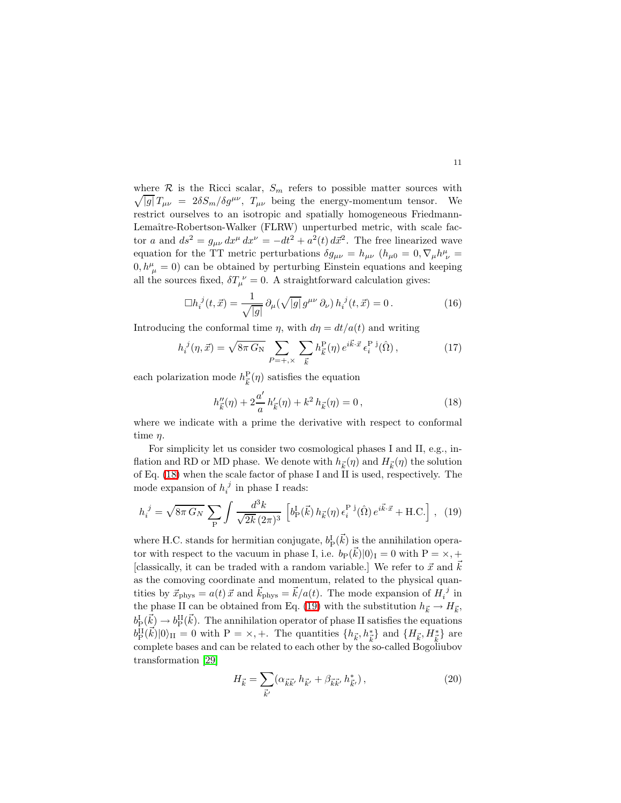$\sqrt{|g|} T_{\mu\nu} = 2\delta S_m/\delta g^{\mu\nu}$ ,  $T_{\mu\nu}$  being the energy-momentum tensor. We where  $\mathcal R$  is the Ricci scalar,  $S_m$  refers to possible matter sources with restrict ourselves to an isotropic and spatially homogeneous Friedmann-Lemaître-Robertson-Walker (FLRW) unperturbed metric, with scale factor a and  $ds^2 = g_{\mu\nu} dx^{\mu} dx^{\nu} = -dt^2 + a^2(t) d\vec{x}^2$ . The free linearized wave equation for the TT metric perturbations  $\delta g_{\mu\nu} = h_{\mu\nu}$   $(h_{\mu 0} = 0, \nabla_{\mu} h^{\mu}_{\ \nu} =$  $(0, h^{\mu}_{\mu} = 0)$  can be obtained by perturbing Einstein equations and keeping all the sources fixed,  $\delta T_{\mu}^{\ \nu} = 0$ . A straightforward calculation gives:

$$
\Box h_i^{\ j}(t, \vec{x}) = \frac{1}{\sqrt{|g|}} \,\partial_\mu(\sqrt{|g|} \, g^{\mu\nu} \,\partial_\nu) \, h_i^{\ j}(t, \vec{x}) = 0 \,. \tag{16}
$$

Introducing the conformal time  $\eta$ , with  $d\eta = dt/a(t)$  and writing

$$
h_i^{\ j}(\eta, \vec{x}) = \sqrt{8\pi \, G_N} \sum_{P = +,\times} \sum_{\vec{k}} h_{\vec{k}}^{\rm P}(\eta) \, e^{i\vec{k}\cdot\vec{x}} \, \epsilon_i^{\rm P\ j}(\hat{\Omega})\,,\tag{17}
$$

<span id="page-10-0"></span>each polarization mode  $h_{\vec{k}}^{\text{P}}(\eta)$  satisfies the equation

$$
h''_{\vec{k}}(\eta) + 2\frac{a'}{a}h'_{\vec{k}}(\eta) + k^2 h_{\vec{k}}(\eta) = 0, \qquad (18)
$$

where we indicate with a prime the derivative with respect to conformal time  $\eta$ .

For simplicity let us consider two cosmological phases I and II, e.g., inflation and RD or MD phase. We denote with  $h_{\vec{k}}(\eta)$  and  $H_{\vec{k}}(\eta)$  the solution of Eq. [\(18\)](#page-10-0) when the scale factor of phase I and II is used, respectively. The mode expansion of  $h_i^j$  in phase I reads:

<span id="page-10-1"></span>
$$
h_i^{\ j} = \sqrt{8\pi \, G_N} \, \sum_{\mathbf{P}} \int \frac{d^3k}{\sqrt{2k} \, (2\pi)^3} \, \left[ b_{\mathbf{P}}^{\mathbf{I}}(\vec{k}) \, h_{\vec{k}}(\eta) \, \epsilon_i^{\mathbf{P} \, \mathbf{j}}(\hat{\Omega}) \, e^{i\vec{k}\cdot\vec{x}} + \text{H.C.} \right] \,, \tag{19}
$$

where H.C. stands for hermitian conjugate,  $b_{\rm P}^{\rm I}(\vec{k})$  is the annihilation operator with respect to the vacuum in phase I, i.e.  $b_P(\vec{k})|0\rangle_I = 0$  with  $P = \times, +$ [classically, it can be traded with a random variable.] We refer to  $\vec{x}$  and  $k$ as the comoving coordinate and momentum, related to the physical quantities by  $\vec{x}_{\text{phys}} = a(t) \vec{x}$  and  $\vec{k}_{\text{phys}} = \vec{k}/a(t)$ . The mode expansion of  $H_i^{\ j}$  in the phase II can be obtained from Eq. [\(19\)](#page-10-1) with the substitution  $h_{\vec{k}} \to H_{\vec{k}}$ ,  $b_{\rm P}^{\rm I}(\vec{k}) \to b_{\rm P}^{\rm II}(\vec{k})$ . The annihilation operator of phase II satisfies the equations  $b_{\rm P}^{\rm II}(\vec{k})|0\rangle_{\rm II} = 0$  with  $P = \times, +$ . The quantities  $\{h_{\vec{k}}, h_{\vec{k}}^*\}$  and  $\{H_{\vec{k}}, H_{\vec{k}}^*\}$  are complete bases and can be related to each other by the so-called Bogoliubov transformation [\[29\]](#page-34-20)

<span id="page-10-2"></span>
$$
H_{\vec{k}} = \sum_{\vec{k}'} (\alpha_{\vec{k}\vec{k}'} \, h_{\vec{k}'} + \beta_{\vec{k}\vec{k}'} \, h_{\vec{k}'}^*) \,, \tag{20}
$$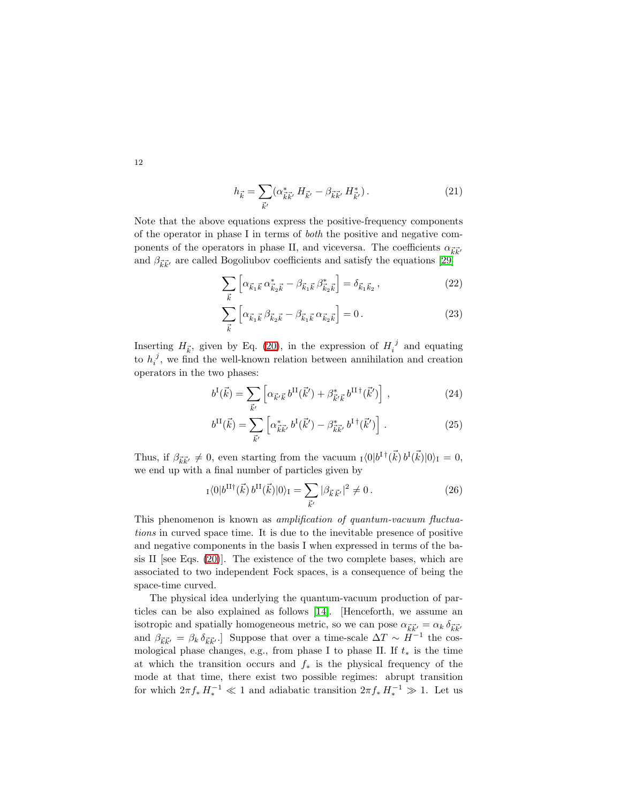$$
h_{\vec{k}} = \sum_{\vec{k}'} (\alpha_{\vec{k}\vec{k}'}^* H_{\vec{k}'} - \beta_{\vec{k}\vec{k}'} H_{\vec{k}'}^*).
$$
 (21)

Note that the above equations express the positive-frequency components of the operator in phase I in terms of both the positive and negative components of the operators in phase II, and viceversa. The coefficients  $\alpha_{\vec{k}\vec{k}'}$ and  $\beta_{\vec{k}\vec{k}'}$  are called Bogoliubov coefficients and satisfy the equations [\[29\]](#page-34-20)

$$
\sum_{\vec{k}} \left[ \alpha_{\vec{k}_1 \vec{k}} \, \alpha_{\vec{k}_2 \vec{k}}^* - \beta_{\vec{k}_1 \vec{k}} \, \beta_{\vec{k}_2 \vec{k}}^* \right] = \delta_{\vec{k}_1 \vec{k}_2} \,, \tag{22}
$$

$$
\sum_{\vec{k}} \left[ \alpha_{\vec{k}_1 \vec{k}} \beta_{\vec{k}_2 \vec{k}} - \beta_{\vec{k}_1 \vec{k}} \alpha_{\vec{k}_2 \vec{k}} \right] = 0. \tag{23}
$$

Inserting  $H_{\vec{k}}$ , given by Eq. [\(20\)](#page-10-2), in the expression of  $H_i^{\ j}$  and equating to  $h_i^j$ , we find the well-known relation between annihilation and creation operators in the two phases:

$$
b^{I}(\vec{k}) = \sum_{\vec{k}'} \left[ \alpha_{\vec{k}'} \vec{k} \, b^{II}(\vec{k}') + \beta_{\vec{k}'}^* \vec{k} \, b^{II \dagger}(\vec{k}') \right] \,, \tag{24}
$$

$$
b^{\rm II}(\vec{k}) = \sum_{\vec{k}'} \left[ \alpha_{\vec{k}\vec{k}'}^* \, b^{\rm I}(\vec{k}') - \beta_{\vec{k}\vec{k}'}^* \, b^{\rm I \, \dagger}(\vec{k}') \right] \,. \tag{25}
$$

Thus, if  $\beta_{\vec{k}\vec{k'}} \neq 0$ , even starting from the vacuum  $\mathbb{I} \langle 0 | b^{\dagger \dagger}(\vec{k}) b^{\dagger}(\vec{k}) | 0 \rangle_{\mathcal{I}} = 0$ , we end up with a final number of particles given by

$$
{}_{I}\langle 0|b^{\text{II}\dagger}(\vec{k})\,b^{\text{II}}(\vec{k})|0\rangle_{\text{I}} = \sum_{\vec{k}'} |\beta_{\vec{k}\,\vec{k}'}|^2 \neq 0. \tag{26}
$$

This phenomenon is known as amplification of quantum-vacuum fluctuations in curved space time. It is due to the inevitable presence of positive and negative components in the basis I when expressed in terms of the basis II [see Eqs.  $(20)$ ]. The existence of the two complete bases, which are associated to two independent Fock spaces, is a consequence of being the space-time curved.

The physical idea underlying the quantum-vacuum production of particles can be also explained as follows [\[14\]](#page-34-5). [Henceforth, we assume an isotropic and spatially homogeneous metric, so we can pose  $\alpha_{\vec{k}\vec{k'}} = \alpha_k \delta_{\vec{k}\vec{k'}}$ and  $\beta_{\vec{k}\vec{k}'} = \beta_k \delta_{\vec{k}\vec{k}'}$ .] Suppose that over a time-scale  $\Delta T \sim H^{-1}$  the cosmological phase changes, e.g., from phase I to phase II. If  $t_*$  is the time at which the transition occurs and  $f_*$  is the physical frequency of the mode at that time, there exist two possible regimes: abrupt transition for which  $2\pi f_* H_*^{-1} \ll 1$  and adiabatic transition  $2\pi f_* H_*^{-1} \gg 1$ . Let us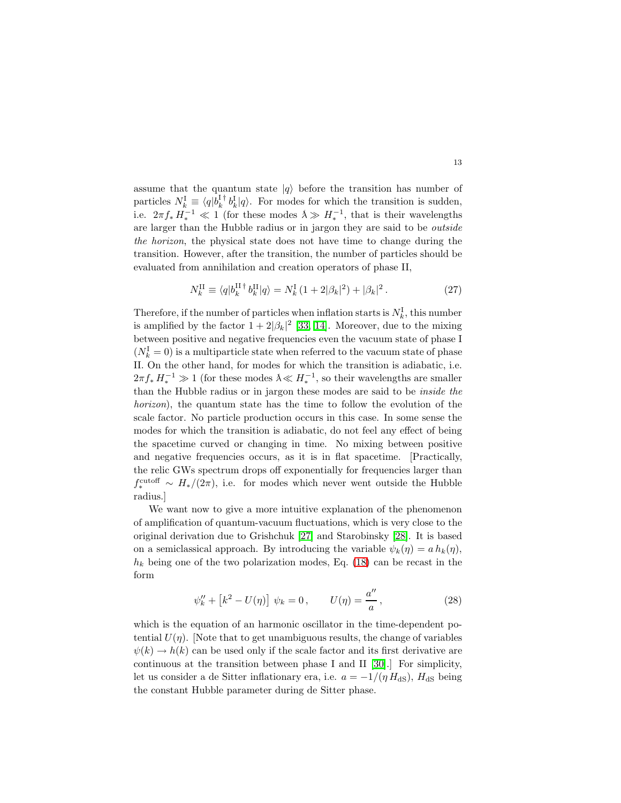assume that the quantum state  $|q\rangle$  before the transition has number of particles  $N_k^{\text{I}} \equiv \langle q | b_k^{\text{I} \dagger} b_k^{\text{I}} | q \rangle$ . For modes for which the transition is sudden, i.e.  $2\pi f_* H_*^{-1} \ll 1$  (for these modes  $\lambda \gg H_*^{-1}$ , that is their wavelengths are larger than the Hubble radius or in jargon they are said to be *outside* are larger than the Hubble radius or in jargon they are said to be *outside* the horizon, the physical state does not have time to change during the transition. However, after the transition, the number of particles should be evaluated from annihilation and creation operators of phase II,

$$
N_k^{\rm II} \equiv \langle q|b_k^{\rm II\, \dagger} \, b_k^{\rm II} |q \rangle = N_k^{\rm I} \, (1+2|\beta_k|^2) + |\beta_k|^2 \,. \tag{27}
$$

<span id="page-12-1"></span>Therefore, if the number of particles when inflation starts is  $N_k^{\text{I}}$ , this number is amplified by the factor  $1 + 2|\beta_k|^2$  [\[33,](#page-34-21) [14\]](#page-34-5). Moreover, due to the mixing between positive and negative frequencies even the vacuum state of phase I  $(N_k^{\rm I}=0)$  is a multiparticle state when referred to the vacuum state of phase II. On the other hand, for modes for which the transition is adiabatic, i.e.  $2\pi f_* H_*^{-1} \gg 1$  (for these modes  $\lambda \ll H_*^{-1}$ , so their wavelengths are smaller than the Hubble radius or in jargon these modes are said to be inside the horizon), the quantum state has the time to follow the evolution of the scale factor. No particle production occurs in this case. In some sense the modes for which the transition is adiabatic, do not feel any effect of being the spacetime curved or changing in time. No mixing between positive and negative frequencies occurs, as it is in flat spacetime. [Practically, the relic GWs spectrum drops off exponentially for frequencies larger than  $f_*^{\text{cutoff}} \sim H_*/(2\pi)$ , i.e. for modes which never went outside the Hubble radius.]

We want now to give a more intuitive explanation of the phenomenon of amplification of quantum-vacuum fluctuations, which is very close to the original derivation due to Grishchuk [\[27\]](#page-34-18) and Starobinsky [\[28\]](#page-34-19). It is based on a semiclassical approach. By introducing the variable  $\psi_k(\eta) = a h_k(\eta)$ ,  $h_k$  being one of the two polarization modes, Eq. [\(18\)](#page-10-0) can be recast in the form

$$
\psi_k'' + [k^2 - U(\eta)] \psi_k = 0, \qquad U(\eta) = \frac{a''}{a}, \qquad (28)
$$

<span id="page-12-0"></span>which is the equation of an harmonic oscillator in the time-dependent potential  $U(\eta)$ . Note that to get unambiguous results, the change of variables  $\psi(k) \to h(k)$  can be used only if the scale factor and its first derivative are continuous at the transition between phase I and II [\[30\]](#page-34-22).] For simplicity, let us consider a de Sitter inflationary era, i.e.  $a = -1/(\eta H_{dS})$ ,  $H_{dS}$  being the constant Hubble parameter during de Sitter phase.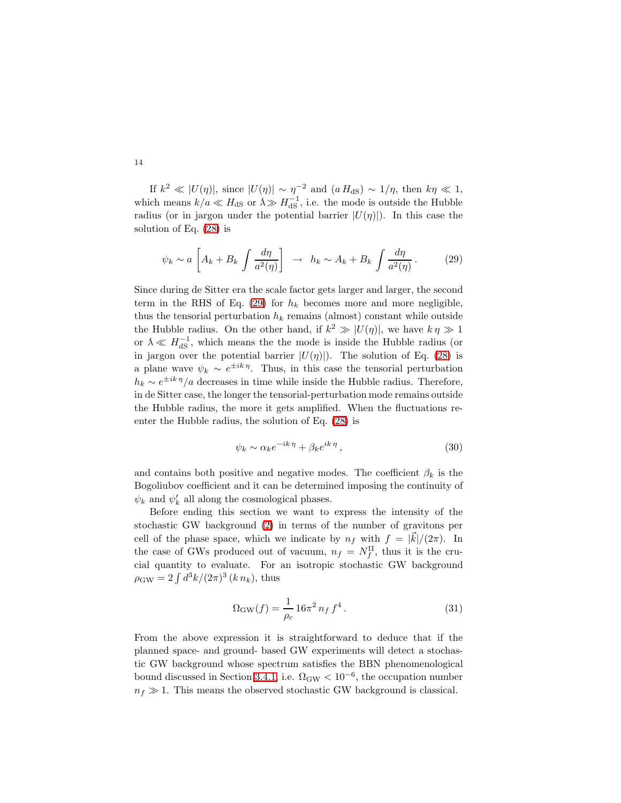If  $k^2 \ll |U(\eta)|$ , since  $|U(\eta)| \sim \eta^{-2}$  and  $(a H_{dS}) \sim 1/\eta$ , then  $k\eta \ll 1$ , which means  $k/a \ll H_{\text{dS}}$  or  $\lambda \gg H_{\text{dS}}^{-1}$ , i.e. the mode is outside the Hubble radius (or in jargon under the potential barrier  $|U(\eta)|$ ). In this case the solution of Eq. [\(28\)](#page-12-0) is

$$
\psi_k \sim a \left[ A_k + B_k \int \frac{d\eta}{a^2(\eta)} \right] \rightarrow h_k \sim A_k + B_k \int \frac{d\eta}{a^2(\eta)}.
$$
 (29)

<span id="page-13-0"></span>Since during de Sitter era the scale factor gets larger and larger, the second term in the RHS of Eq. [\(29\)](#page-13-0) for  $h_k$  becomes more and more negligible, thus the tensorial perturbation  $h_k$  remains (almost) constant while outside the Hubble radius. On the other hand, if  $k^2 \gg |U(\eta)|$ , we have  $k \eta \gg 1$ or  $\lambda \ll H_{\text{dS}}^{-1}$ , which means the the mode is inside the Hubble radius (or in jargon over the potential barrier  $|U(\eta)|$ ). The solution of Eq. [\(28\)](#page-12-0) is a plane wave  $\psi_k \sim e^{\pm i k \eta}$ . Thus, in this case the tensorial perturbation  $h_k \sim e^{\pm i k \eta}/a$  decreases in time while inside the Hubble radius. Therefore, in de Sitter case, the longer the tensorial-perturbation mode remains outside the Hubble radius, the more it gets amplified. When the fluctuations reenter the Hubble radius, the solution of Eq. [\(28\)](#page-12-0) is

$$
\psi_k \sim \alpha_k e^{-ik\eta} + \beta_k e^{ik\eta}, \qquad (30)
$$

and contains both positive and negative modes. The coefficient  $\beta_k$  is the Bogoliubov coefficient and it can be determined imposing the continuity of  $\psi_k$  and  $\psi'_k$  all along the cosmological phases.

Before ending this section we want to express the intensity of the stochastic GW background [\(2\)](#page-3-3) in terms of the number of gravitons per cell of the phase space, which we indicate by  $n_f$  with  $f = |\vec{k}|/(2\pi)$ . In the case of GWs produced out of vacuum,  $n_f = N_f^{\text{II}}$ , thus it is the crucial quantity to evaluate. For an isotropic stochastic GW background  $\rho_{\rm GW} = 2 \int d^3k / (2\pi)^3 (k n_k)$ , thus

$$
\Omega_{\rm GW}(f) = \frac{1}{\rho_c} 16\pi^2 n_f f^4.
$$
\n(31)

<span id="page-13-1"></span>From the above expression it is straightforward to deduce that if the planned space- and ground- based GW experiments will detect a stochastic GW background whose spectrum satisfies the BBN phenomenological bound discussed in Section [3.4.1,](#page-7-1) i.e.  $\Omega_{\rm GW} < 10^{-6}$ , the occupation number  $n_f \gg 1$ . This means the observed stochastic GW background is classical.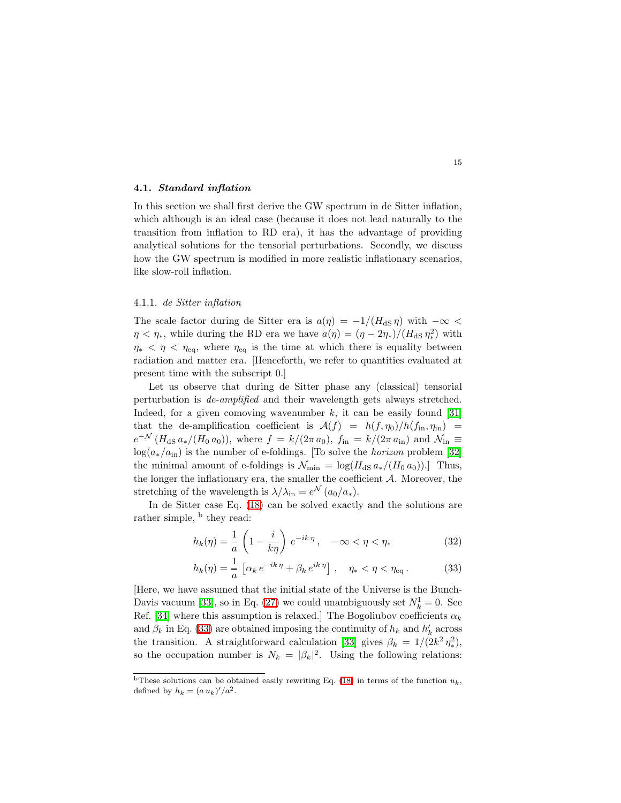# <span id="page-14-1"></span>4.1. Standard inflation

In this section we shall first derive the GW spectrum in de Sitter inflation, which although is an ideal case (because it does not lead naturally to the transition from inflation to RD era), it has the advantage of providing analytical solutions for the tensorial perturbations. Secondly, we discuss how the GW spectrum is modified in more realistic inflationary scenarios, like slow-roll inflation.

# <span id="page-14-2"></span>4.1.1. de Sitter inflation

The scale factor during de Sitter era is  $a(\eta) = -1/(H_{\text{dS}} \eta)$  with  $-\infty$  $\eta < \eta_*$ , while during the RD era we have  $a(\eta) = (\eta - 2\eta_*)/(H_{\text{dS}} \eta_*^2)$  $_{*}^{2}$ ) with  $\eta_* < \eta < \eta_{\text{eq}}$ , where  $\eta_{\text{eq}}$  is the time at which there is equality between radiation and matter era. [Henceforth, we refer to quantities evaluated at present time with the subscript 0.]

Let us observe that during de Sitter phase any (classical) tensorial perturbation is de-amplified and their wavelength gets always stretched. Indeed, for a given comoving wavenumber  $k$ , it can be easily found [\[31\]](#page-34-23) that the de-amplification coefficient is  $\mathcal{A}(f) = h(f, \eta_0)/h(f_{\text{in}}, \eta_{\text{in}})$  $e^{-\mathcal{N}}$  ( $H_{\text{dS}} a_*/(H_0 a_0)$ ), where  $f = k/(2\pi a_0)$ ,  $f_{\text{in}} = k/(2\pi a_{\text{in}})$  and  $\mathcal{N}_{\text{in}} \equiv$  $log(a_*/a_{\rm in})$  is the number of e-foldings. [To solve the *horizon* problem [\[32\]](#page-34-24) the minimal amount of e-foldings is  $\mathcal{N}_{\min} = \log(H_{\text{dS}} a_*/(H_0 a_0))$ . Thus, the longer the inflationary era, the smaller the coefficient  $A$ . Moreover, the stretching of the wavelength is  $\lambda/\lambda_{\rm in} = e^{\mathcal{N}} (a_0/a_*)$ .

<span id="page-14-0"></span>In de Sitter case Eq. [\(18\)](#page-10-0) can be solved exactly and the solutions are rather simple, <sup>b</sup> they read:

$$
h_k(\eta) = \frac{1}{a} \left( 1 - \frac{i}{k\eta} \right) e^{-ik\eta}, \quad -\infty < \eta < \eta_* \tag{32}
$$

$$
h_k(\eta) = \frac{1}{a} \left[ \alpha_k e^{-ik\eta} + \beta_k e^{ik\eta} \right], \quad \eta_* < \eta < \eta_{\text{eq}}.
$$
 (33)

[Here, we have assumed that the initial state of the Universe is the Bunch-Davis vacuum [\[33\]](#page-34-21), so in Eq. [\(27\)](#page-12-1) we could unambiguously set  $N_k^{\text{I}} = 0$ . See Ref. [\[34\]](#page-34-25) where this assumption is relaxed.] The Bogoliubov coefficients  $\alpha_k$ and  $\beta_k$  in Eq. [\(33\)](#page-14-0) are obtained imposing the continuity of  $h_k$  and  $h'_k$  across the transition. A straightforward calculation [\[33\]](#page-34-21) gives  $\beta_k = 1/(2k^2 \eta_*^2)$ ∗ ), so the occupation number is  $N_k = |\beta_k|^2$ . Using the following relations:

<sup>&</sup>lt;sup>b</sup>These solutions can be obtained easily rewriting Eq. [\(18\)](#page-10-0) in terms of the function  $u_k$ , defined by  $h_k = (a u_k)' / a^2$ .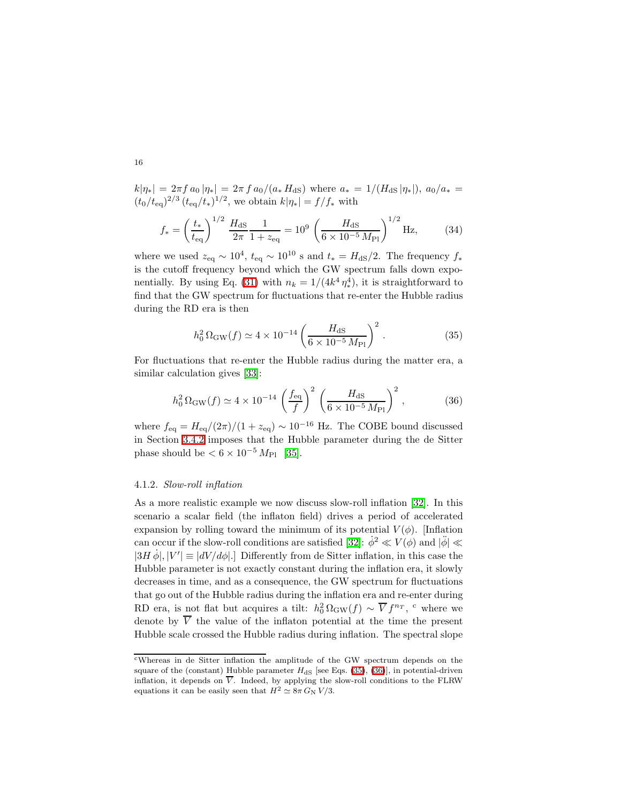$k|\eta_*| = 2\pi f a_0 |\eta_*| = 2\pi f a_0/(a_* H_{dS})$  where  $a_* = 1/(H_{dS} |\eta_*|), a_0/a_* =$  $(t_0/t_{\text{eq}})^{2/3} (t_{\text{eq}}/t_*)^{1/2}$ , we obtain  $k|\eta_*| = f/f_*$  with

$$
f_* = \left(\frac{t_*}{t_{\text{eq}}}\right)^{1/2} \frac{H_{\text{dS}}}{2\pi} \frac{1}{1 + z_{\text{eq}}} = 10^9 \left(\frac{H_{\text{dS}}}{6 \times 10^{-5} M_{\text{Pl}}}\right)^{1/2} \text{Hz},\tag{34}
$$

where we used  $z_{\text{eq}} \sim 10^4$ ,  $t_{\text{eq}} \sim 10^{10}$  s and  $t_* = H_{\text{dS}}/2$ . The frequency  $f_*$ is the cutoff frequency beyond which the GW spectrum falls down expo-nentially. By using Eq. [\(31\)](#page-13-1) with  $n_k = 1/(4k^4 \eta_*^4)$ ∗ ), it is straightforward to find that the GW spectrum for fluctuations that re-enter the Hubble radius during the RD era is then

$$
h_0^2 \Omega_{\rm GW}(f) \simeq 4 \times 10^{-14} \left( \frac{H_{\rm dS}}{6 \times 10^{-5} M_{\rm Pl}} \right)^2 \,. \tag{35}
$$

<span id="page-15-1"></span><span id="page-15-0"></span>For fluctuations that re-enter the Hubble radius during the matter era, a similar calculation gives [\[33\]](#page-34-21):

$$
h_0^2 \Omega_{\rm GW}(f) \simeq 4 \times 10^{-14} \left(\frac{f_{\rm eq}}{f}\right)^2 \left(\frac{H_{\rm dS}}{6 \times 10^{-5} M_{\rm Pl}}\right)^2, \tag{36}
$$

where  $f_{\text{eq}} = H_{\text{eq}}/(2\pi)/(1 + z_{\text{eq}}) \sim 10^{-16}$  Hz. The COBE bound discussed in Section [3.4.2](#page-8-2) imposes that the Hubble parameter during the de Sitter phase should be  $< 6 \times 10^{-5} M_{\text{Pl}}$  [\[35\]](#page-34-26).

# <span id="page-15-2"></span>4.1.2. Slow-roll inflation

As a more realistic example we now discuss slow-roll inflation [\[32\]](#page-34-24). In this scenario a scalar field (the inflaton field) drives a period of accelerated expansion by rolling toward the minimum of its potential  $V(\phi)$ . [Inflation can occur if the slow-roll conditions are satisfied [\[32\]](#page-34-24):  $\dot{\phi}^2 \ll V(\phi)$  and  $|\ddot{\phi}| \ll$  $|3H\dot{\phi}|,|V'| \equiv |dV/d\phi|.$ ] Differently from de Sitter inflation, in this case the Hubble parameter is not exactly constant during the inflation era, it slowly decreases in time, and as a consequence, the GW spectrum for fluctuations that go out of the Hubble radius during the inflation era and re-enter during RD era, is not flat but acquires a tilt:  $h_0^2 \Omega_{\rm GW}(f) \sim \overline{V} f^{n_T}$ , <sup>c</sup> where we denote by  $\overline{V}$  the value of the inflaton potential at the time the present Hubble scale crossed the Hubble radius during inflation. The spectral slope

<sup>c</sup>Whereas in de Sitter inflation the amplitude of the GW spectrum depends on the square of the (constant) Hubble parameter  $H_{\text{dS}}$  [see Eqs. [\(35\)](#page-15-0), [\(36\)](#page-15-1)], in potential-driven inflation, it depends on  $\overline{V}$ . Indeed, by applying the slow-roll conditions to the FLRW equations it can be easily seen that  $H^2 \simeq 8\pi G_N V/3$ .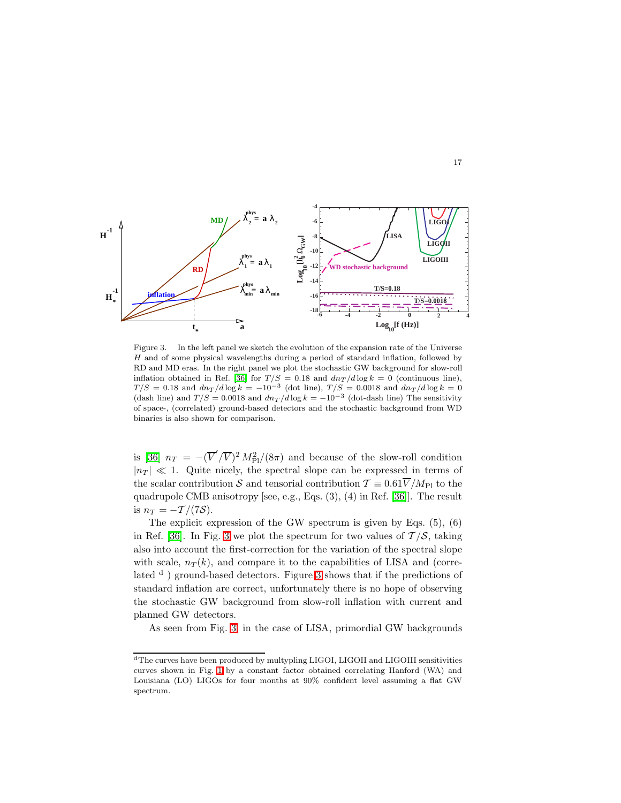

<span id="page-16-0"></span>Figure 3. In the left panel we sketch the evolution of the expansion rate of the Universe H and of some physical wavelengths during a period of standard inflation, followed by RD and MD eras. In the right panel we plot the stochastic GW background for slow-roll inflation obtained in Ref. [\[36\]](#page-34-27) for  $T/S = 0.18$  and  $dn_T/d \log k = 0$  (continuous line),  $T/S = 0.18$  and  $dn_T/d \log k = -10^{-3}$  (dot line),  $T/S = 0.0018$  and  $dn_T/d \log k = 0$ (dash line) and  $T/S = 0.0018$  and  $dn_T/d \log k = -10^{-3}$  (dot-dash line) The sensitivity of space-, (correlated) ground-based detectors and the stochastic background from WD binaries is also shown for comparison.

is [\[36\]](#page-34-27)  $n_T = -(\overline{V}'/\overline{V})^2 M_{\text{Pl}}^2/(8\pi)$  and because of the slow-roll condition  $|n_T| \ll 1$ . Quite nicely, the spectral slope can be expressed in terms of the scalar contribution S and tensorial contribution  $\mathcal{T} \equiv 0.61 \overline{V}/M_{\text{Pl}}$  to the quadrupole CMB anisotropy [see, e.g., Eqs. (3), (4) in Ref. [\[36\]](#page-34-27)]. The result is  $n_T = -T/(7S)$ .

The explicit expression of the GW spectrum is given by Eqs. (5), (6) in Ref. [\[36\]](#page-34-27). In Fig. [3](#page-16-0) we plot the spectrum for two values of  $\mathcal{T}/\mathcal{S}$ , taking also into account the first-correction for the variation of the spectral slope with scale,  $n_T(k)$ , and compare it to the capabilities of LISA and (correlated  $d$ ) ground-based detectors. Figure [3](#page-16-0) shows that if the predictions of standard inflation are correct, unfortunately there is no hope of observing the stochastic GW background from slow-roll inflation with current and planned GW detectors.

As seen from Fig. [3,](#page-16-0) in the case of LISA, primordial GW backgrounds

<sup>d</sup>The curves have been produced by multypling LIGOI, LIGOII and LIGOIII sensitivities curves shown in Fig. [1](#page-4-1) by a constant factor obtained correlating Hanford (WA) and Louisiana (LO) LIGOs for four months at 90% confident level assuming a flat GW spectrum.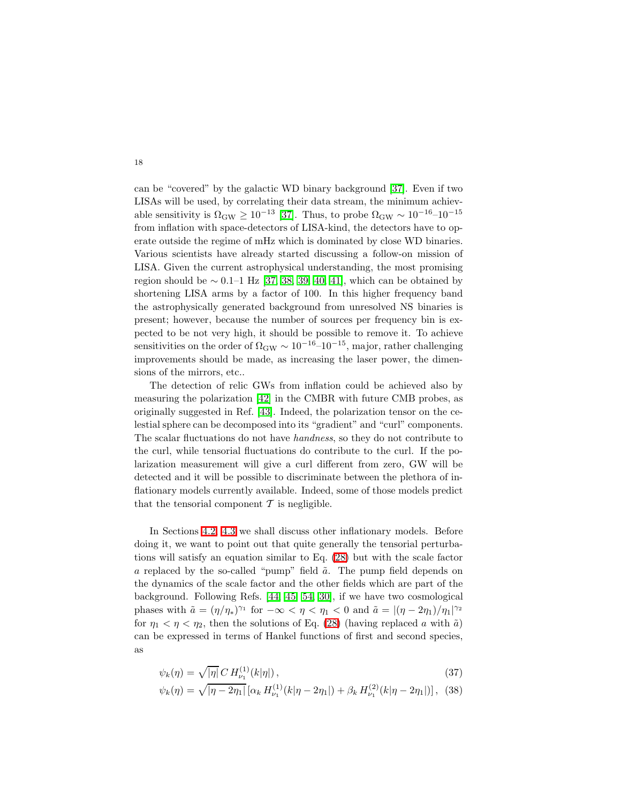can be "covered" by the galactic WD binary background [\[37\]](#page-34-28). Even if two LISAs will be used, by correlating their data stream, the minimum achievable sensitivity is  $\Omega_{\rm GW} \ge 10^{-13}$  [\[37\]](#page-34-28). Thus, to probe  $\Omega_{\rm GW} \sim 10^{-16}$ –10<sup>-15</sup> from inflation with space-detectors of LISA-kind, the detectors have to operate outside the regime of mHz which is dominated by close WD binaries. Various scientists have already started discussing a follow-on mission of LISA. Given the current astrophysical understanding, the most promising region should be  $\sim 0.1-1$  Hz [\[37,](#page-34-28) [38,](#page-34-29) [39,](#page-35-1) [40,](#page-35-0) [41\]](#page-35-2), which can be obtained by shortening LISA arms by a factor of 100. In this higher frequency band the astrophysically generated background from unresolved NS binaries is present; however, because the number of sources per frequency bin is expected to be not very high, it should be possible to remove it. To achieve sensitivities on the order of  $\Omega_{\rm GW} \sim 10^{-16}$ – $10^{-15}$ , major, rather challenging improvements should be made, as increasing the laser power, the dimensions of the mirrors, etc..

The detection of relic GWs from inflation could be achieved also by measuring the polarization [\[42\]](#page-35-3) in the CMBR with future CMB probes, as originally suggested in Ref. [\[43\]](#page-35-4). Indeed, the polarization tensor on the celestial sphere can be decomposed into its "gradient" and "curl" components. The scalar fluctuations do not have handness, so they do not contribute to the curl, while tensorial fluctuations do contribute to the curl. If the polarization measurement will give a curl different from zero, GW will be detected and it will be possible to discriminate between the plethora of inflationary models currently available. Indeed, some of those models predict that the tensorial component  $\mathcal T$  is negligible.

In Sections [4.2,](#page-18-0) [4.3](#page-23-0) we shall discuss other inflationary models. Before doing it, we want to point out that quite generally the tensorial perturbations will satisfy an equation similar to Eq. [\(28\)](#page-12-0) but with the scale factor a replaced by the so-called "pump" field  $\tilde{a}$ . The pump field depends on the dynamics of the scale factor and the other fields which are part of the background. Following Refs. [\[44,](#page-35-5) [45,](#page-35-6) [54,](#page-35-7) [30\]](#page-34-22), if we have two cosmological phases with  $\tilde{a} = (\eta/\eta_*)^{\gamma_1}$  for  $-\infty < \eta < \eta_1 < 0$  and  $\tilde{a} = |(\eta - 2\eta_1)/\eta_1|^{\gamma_2}$ for  $\eta_1 < \eta < \eta_2$ , then the solutions of Eq. [\(28\)](#page-12-0) (having replaced a with  $\tilde{a}$ ) can be expressed in terms of Hankel functions of first and second species, as

<span id="page-17-0"></span>
$$
\psi_k(\eta) = \sqrt{|\eta|} C H_{\nu_1}^{(1)}(k|\eta|), \qquad (37)
$$

$$
\psi_k(\eta) = \sqrt{|\eta - 2\eta_1|} \left[ \alpha_k H_{\nu_1}^{(1)}(k|\eta - 2\eta_1|) + \beta_k H_{\nu_1}^{(2)}(k|\eta - 2\eta_1|) \right], \tag{38}
$$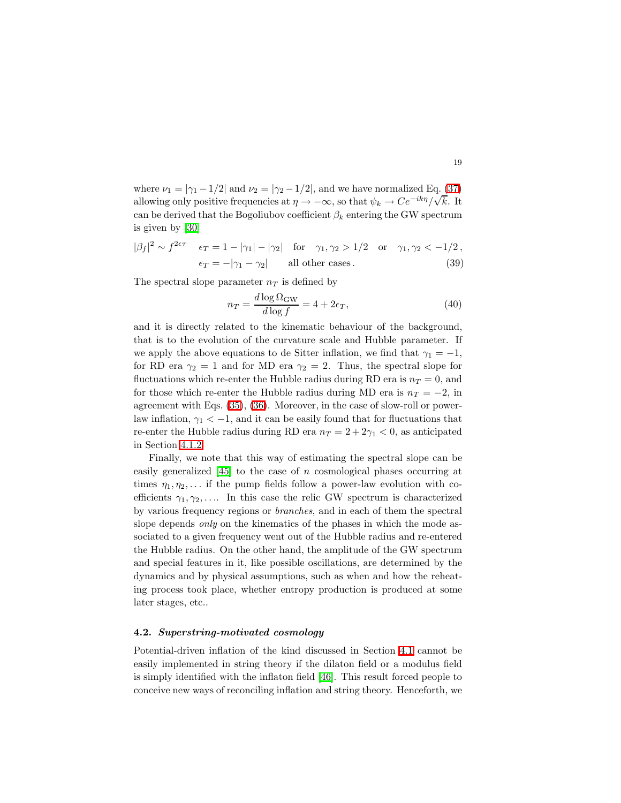where  $\nu_1 = |\gamma_1 - 1/2|$  and  $\nu_2 = |\gamma_2 - 1/2|$ , and we have normalized Eq. [\(37\)](#page-17-0) allowing only positive frequencies at  $\eta \to -\infty$ , so that  $\psi_k \to Ce^{-ik\eta}/\sqrt{k}$ . It can be derived that the Bogoliubov coefficient  $\beta_k$  entering the GW spectrum is given by [\[30\]](#page-34-22)

<span id="page-18-1"></span>
$$
|\beta_f|^2 \sim f^{2\epsilon_T} \quad \epsilon_T = 1 - |\gamma_1| - |\gamma_2| \quad \text{for} \quad \gamma_1, \gamma_2 > 1/2 \quad \text{or} \quad \gamma_1, \gamma_2 < -1/2,
$$
  

$$
\epsilon_T = -|\gamma_1 - \gamma_2| \quad \text{all other cases.} \tag{39}
$$

The spectral slope parameter  $n<sub>T</sub>$  is defined by

$$
n_T = \frac{d \log \Omega_{\rm GW}}{d \log f} = 4 + 2\epsilon_T,\tag{40}
$$

and it is directly related to the kinematic behaviour of the background, that is to the evolution of the curvature scale and Hubble parameter. If we apply the above equations to de Sitter inflation, we find that  $\gamma_1 = -1$ , for RD era  $\gamma_2 = 1$  and for MD era  $\gamma_2 = 2$ . Thus, the spectral slope for fluctuations which re-enter the Hubble radius during RD era is  $n_T = 0$ , and for those which re-enter the Hubble radius during MD era is  $n_T = -2$ , in agreement with Eqs. [\(35\)](#page-15-0), [\(36\)](#page-15-1). Moreover, in the case of slow-roll or powerlaw inflation,  $\gamma_1 < -1$ , and it can be easily found that for fluctuations that re-enter the Hubble radius during RD era  $n_T = 2 + 2\gamma_1 < 0$ , as anticipated in Section [4.1.2.](#page-15-2)

Finally, we note that this way of estimating the spectral slope can be easily generalized  $\begin{bmatrix} 45 \\ 1 \end{bmatrix}$  to the case of n cosmological phases occurring at times  $\eta_1, \eta_2, \ldots$  if the pump fields follow a power-law evolution with coefficients  $\gamma_1, \gamma_2, \ldots$  In this case the relic GW spectrum is characterized by various frequency regions or branches, and in each of them the spectral slope depends *only* on the kinematics of the phases in which the mode associated to a given frequency went out of the Hubble radius and re-entered the Hubble radius. On the other hand, the amplitude of the GW spectrum and special features in it, like possible oscillations, are determined by the dynamics and by physical assumptions, such as when and how the reheating process took place, whether entropy production is produced at some later stages, etc..

# <span id="page-18-0"></span>4.2. Superstring-motivated cosmology

Potential-driven inflation of the kind discussed in Section [4.1](#page-14-1) cannot be easily implemented in string theory if the dilaton field or a modulus field is simply identified with the inflaton field [\[46\]](#page-35-8). This result forced people to conceive new ways of reconciling inflation and string theory. Henceforth, we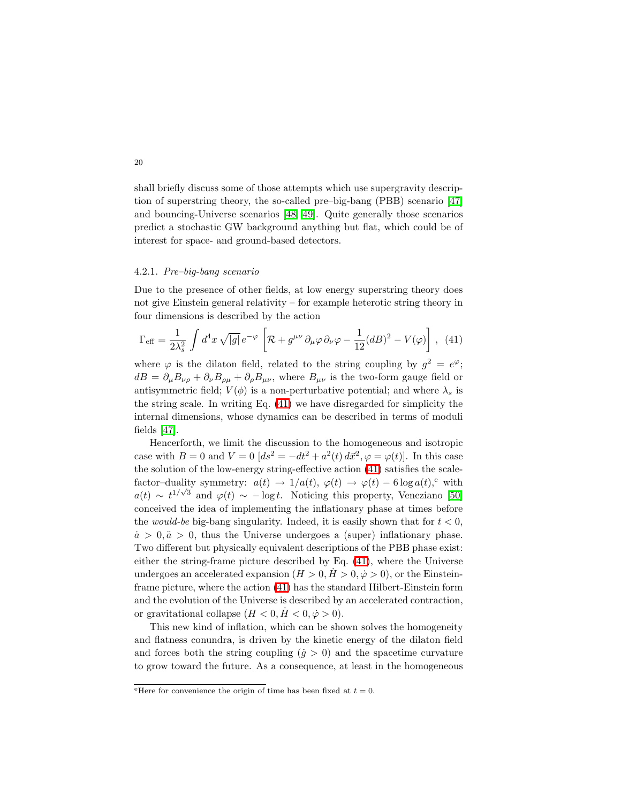shall briefly discuss some of those attempts which use supergravity description of superstring theory, the so-called pre–big-bang (PBB) scenario [\[47\]](#page-35-9) and bouncing-Universe scenarios [\[48,](#page-35-10) [49\]](#page-35-11). Quite generally those scenarios predict a stochastic GW background anything but flat, which could be of interest for space- and ground-based detectors.

#### 4.2.1. Pre–big-bang scenario

Due to the presence of other fields, at low energy superstring theory does not give Einstein general relativity – for example heterotic string theory in four dimensions is described by the action

<span id="page-19-0"></span>
$$
\Gamma_{\text{eff}} = \frac{1}{2\lambda_s^2} \int d^4x \sqrt{|g|} \, e^{-\varphi} \left[ \mathcal{R} + g^{\mu\nu} \, \partial_\mu \varphi \, \partial_\nu \varphi - \frac{1}{12} (dB)^2 - V(\varphi) \right] \,, \tag{41}
$$

where  $\varphi$  is the dilaton field, related to the string coupling by  $g^2 = e^{\varphi}$ ;  $dB = \partial_{\mu}B_{\nu\rho} + \partial_{\nu}B_{\rho\mu} + \partial_{\rho}B_{\mu\nu}$ , where  $B_{\mu\nu}$  is the two-form gauge field or antisymmetric field;  $V(\phi)$  is a non-perturbative potential; and where  $\lambda_s$  is the string scale. In writing Eq. [\(41\)](#page-19-0) we have disregarded for simplicity the internal dimensions, whose dynamics can be described in terms of moduli fields [\[47\]](#page-35-9).

Hencerforth, we limit the discussion to the homogeneous and isotropic case with  $B = 0$  and  $V = 0$   $(ds^2 = -dt^2 + a^2(t) d\vec{x}^2, \varphi = \varphi(t)$ . In this case the solution of the low-energy string-effective action [\(41\)](#page-19-0) satisfies the scalefactor–duality symmetry:  $a(t) \rightarrow 1/a(t), \varphi(t) \rightarrow \varphi(t) - 6 \log a(t),^e$  with  $a(t) \sim t^{1/\sqrt{3}}$  and  $\varphi(t) \sim -\log t$ . Noticing this property, Veneziano [\[50\]](#page-35-12) conceived the idea of implementing the inflationary phase at times before the *would-be* big-bang singularity. Indeed, it is easily shown that for  $t < 0$ ,  $\dot{a} > 0, \ddot{a} > 0$ , thus the Universe undergoes a (super) inflationary phase. Two different but physically equivalent descriptions of the PBB phase exist: either the string-frame picture described by Eq. [\(41\)](#page-19-0), where the Universe undergoes an accelerated expansion  $(H > 0, H > 0, \dot{\varphi} > 0)$ , or the Einsteinframe picture, where the action [\(41\)](#page-19-0) has the standard Hilbert-Einstein form and the evolution of the Universe is described by an accelerated contraction, or gravitational collapse  $(H < 0, H < 0, \dot{\varphi} > 0)$ .

This new kind of inflation, which can be shown solves the homogeneity and flatness conundra, is driven by the kinetic energy of the dilaton field and forces both the string coupling  $(j > 0)$  and the spacetime curvature to grow toward the future. As a consequence, at least in the homogeneous

<sup>&</sup>lt;sup>e</sup>Here for convenience the origin of time has been fixed at  $t = 0$ .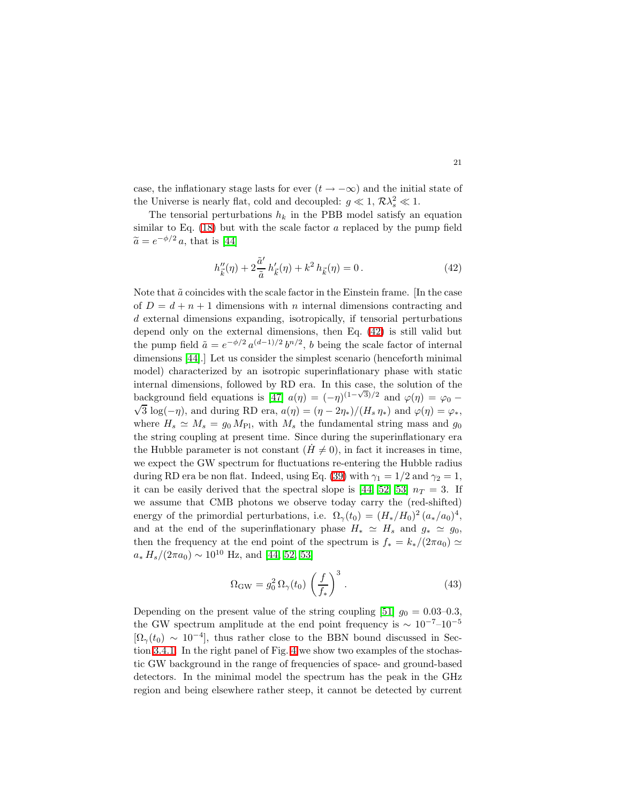case, the inflationary stage lasts for ever  $(t \to -\infty)$  and the initial state of the Universe is nearly flat, cold and decoupled:  $g \ll 1$ ,  $\mathcal{R}\lambda_s^2 \ll 1$ .

<span id="page-20-0"></span>The tensorial perturbations  $h_k$  in the PBB model satisfy an equation similar to Eq.  $(18)$  but with the scale factor a replaced by the pump field  $\widetilde{a} = e^{-\phi/2} a$ , that is [\[44\]](#page-35-5)

$$
h''_{\vec{k}}(\eta) + 2\frac{\tilde{a}'}{\tilde{a}}h'_{\vec{k}}(\eta) + k^2 h_{\vec{k}}(\eta) = 0.
$$
 (42)

Note that  $\tilde{a}$  coincides with the scale factor in the Einstein frame. [In the case of  $D = d + n + 1$  dimensions with n internal dimensions contracting and d external dimensions expanding, isotropically, if tensorial perturbations depend only on the external dimensions, then Eq. [\(42\)](#page-20-0) is still valid but the pump field  $\tilde{a} = e^{-\phi/2} a^{(d-1)/2} b^{n/2}$ , b being the scale factor of internal dimensions [\[44\]](#page-35-5).] Let us consider the simplest scenario (henceforth minimal model) characterized by an isotropic superinflationary phase with static internal dimensions, followed by RD era. In this case, the solution of the background field equations is [\[47\]](#page-35-9)  $a(\eta) = (-\eta)^{(1-\sqrt{3})/2}$  and  $\varphi(\eta) = \varphi_0 \sqrt{3} \log(-\eta)$ , and during RD era,  $a(\eta) = (\eta - 2\eta_*)/(H_s \eta_*)$  and  $\varphi(\eta) = \varphi_*$ , where  $H_s \simeq M_s = g_0 M_{\text{Pl}}$ , with  $M_s$  the fundamental string mass and  $g_0$ the string coupling at present time. Since during the superinflationary era the Hubble parameter is not constant  $(H \neq 0)$ , in fact it increases in time, we expect the GW spectrum for fluctuations re-entering the Hubble radius during RD era be non flat. Indeed, using Eq. [\(39\)](#page-18-1) with  $\gamma_1 = 1/2$  and  $\gamma_2 = 1$ , it can be easily derived that the spectral slope is [\[44,](#page-35-5) [52,](#page-35-13) [53\]](#page-35-14)  $n_T = 3$ . If we assume that CMB photons we observe today carry the (red-shifted) energy of the primordial perturbations, i.e.  $\Omega_{\gamma}(t_0) = (H_*/H_0)^2 (a_*/a_0)^4$ , and at the end of the superinflationary phase  $H_* \simeq H_s$  and  $g_* \simeq g_0$ , then the frequency at the end point of the spectrum is  $f_* = k_*/(2\pi a_0) \simeq$  $a_* H_s/(2\pi a_0) \sim 10^{10}$  Hz, and [\[44,](#page-35-5) [52,](#page-35-13) [53\]](#page-35-14)

$$
\Omega_{\rm GW} = g_0^2 \,\Omega_{\gamma}(t_0) \left(\frac{f}{f_*}\right)^3 \,. \tag{43}
$$

Depending on the present value of the string coupling [\[51\]](#page-35-15)  $g_0 = 0.03{\text -}0.3$ , the GW spectrum amplitude at the end point frequency is  $\sim 10^{-7}$ – $10^{-5}$  $[\Omega_{\gamma}(t_0) \sim 10^{-4}]$ , thus rather close to the BBN bound discussed in Section [3.4.1.](#page-7-1) In the right panel of Fig. [4](#page-21-0) we show two examples of the stochastic GW background in the range of frequencies of space- and ground-based detectors. In the minimal model the spectrum has the peak in the GHz region and being elsewhere rather steep, it cannot be detected by current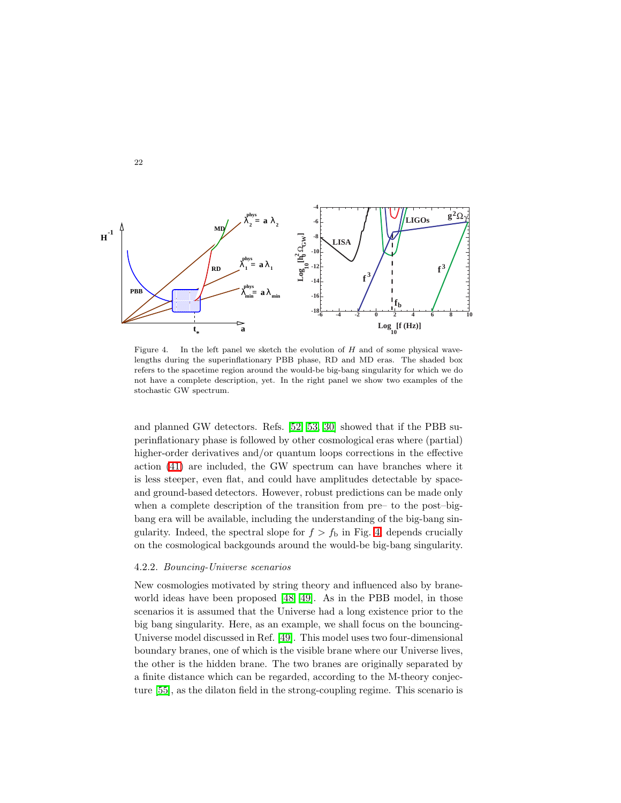

<span id="page-21-0"></span>Figure 4. In the left panel we sketch the evolution of  $H$  and of some physical wavelengths during the superinflationary PBB phase, RD and MD eras. The shaded box refers to the spacetime region around the would-be big-bang singularity for which we do not have a complete description, yet. In the right panel we show two examples of the stochastic GW spectrum.

and planned GW detectors. Refs. [\[52,](#page-35-13) [53,](#page-35-14) [30\]](#page-34-22) showed that if the PBB superinflationary phase is followed by other cosmological eras where (partial) higher-order derivatives and/or quantum loops corrections in the effective action [\(41\)](#page-19-0) are included, the GW spectrum can have branches where it is less steeper, even flat, and could have amplitudes detectable by spaceand ground-based detectors. However, robust predictions can be made only when a complete description of the transition from pre– to the post–bigbang era will be available, including the understanding of the big-bang singularity. Indeed, the spectral slope for  $f > f<sub>b</sub>$  in Fig. [4,](#page-21-0) depends crucially on the cosmological backgounds around the would-be big-bang singularity.

## 4.2.2. Bouncing-Universe scenarios

New cosmologies motivated by string theory and influenced also by braneworld ideas have been proposed [\[48,](#page-35-10) [49\]](#page-35-11). As in the PBB model, in those scenarios it is assumed that the Universe had a long existence prior to the big bang singularity. Here, as an example, we shall focus on the bouncing-Universe model discussed in Ref. [\[49\]](#page-35-11). This model uses two four-dimensional boundary branes, one of which is the visible brane where our Universe lives, the other is the hidden brane. The two branes are originally separated by a finite distance which can be regarded, according to the M-theory conjecture [\[55\]](#page-35-16), as the dilaton field in the strong-coupling regime. This scenario is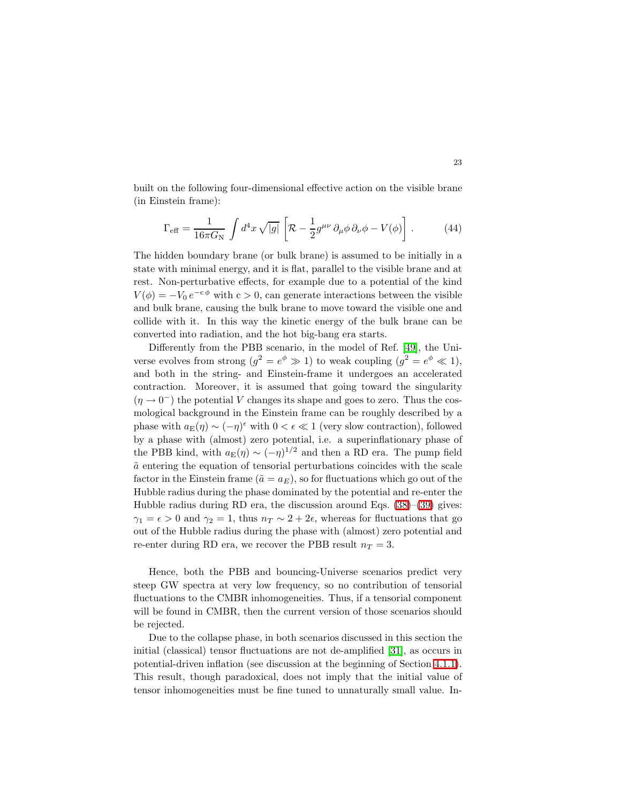built on the following four-dimensional effective action on the visible brane (in Einstein frame):

$$
\Gamma_{\text{eff}} = \frac{1}{16\pi G_N} \int d^4x \sqrt{|g|} \left[ \mathcal{R} - \frac{1}{2} g^{\mu\nu} \partial_\mu \phi \, \partial_\nu \phi - V(\phi) \right]. \tag{44}
$$

The hidden boundary brane (or bulk brane) is assumed to be initially in a state with minimal energy, and it is flat, parallel to the visible brane and at rest. Non-perturbative effects, for example due to a potential of the kind  $V(\phi) = -V_0 e^{-c\phi}$  with  $c > 0$ , can generate interactions between the visible and bulk brane, causing the bulk brane to move toward the visible one and collide with it. In this way the kinetic energy of the bulk brane can be converted into radiation, and the hot big-bang era starts.

Differently from the PBB scenario, in the model of Ref. [\[49\]](#page-35-11), the Universe evolves from strong  $(g^2 = e^{\phi} \gg 1)$  to weak coupling  $(g^2 = e^{\phi} \ll 1)$ , and both in the string- and Einstein-frame it undergoes an accelerated contraction. Moreover, it is assumed that going toward the singularity  $(\eta \to 0^-)$  the potential V changes its shape and goes to zero. Thus the cosmological background in the Einstein frame can be roughly described by a phase with  $a_{\mathcal{E}}(\eta) \sim (-\eta)^{\epsilon}$  with  $0 < \epsilon \ll 1$  (very slow contraction), followed by a phase with (almost) zero potential, i.e. a superinflationary phase of the PBB kind, with  $a_{\mathbf{E}}(\eta) \sim (-\eta)^{1/2}$  and then a RD era. The pump field  $\tilde{a}$  entering the equation of tensorial perturbations coincides with the scale factor in the Einstein frame ( $\tilde{a} = a_E$ ), so for fluctuations which go out of the Hubble radius during the phase dominated by the potential and re-enter the Hubble radius during RD era, the discussion around Eqs. [\(38\)](#page-17-0)–[\(39\)](#page-18-1) gives:  $\gamma_1 = \epsilon > 0$  and  $\gamma_2 = 1$ , thus  $n_T \sim 2 + 2\epsilon$ , whereas for fluctuations that go out of the Hubble radius during the phase with (almost) zero potential and re-enter during RD era, we recover the PBB result  $n_T = 3$ .

Hence, both the PBB and bouncing-Universe scenarios predict very steep GW spectra at very low frequency, so no contribution of tensorial fluctuations to the CMBR inhomogeneities. Thus, if a tensorial component will be found in CMBR, then the current version of those scenarios should be rejected.

Due to the collapse phase, in both scenarios discussed in this section the initial (classical) tensor fluctuations are not de-amplified [\[31\]](#page-34-23), as occurs in potential-driven inflation (see discussion at the beginning of Section [4.1.1\)](#page-14-2). This result, though paradoxical, does not imply that the initial value of tensor inhomogeneities must be fine tuned to unnaturally small value. In-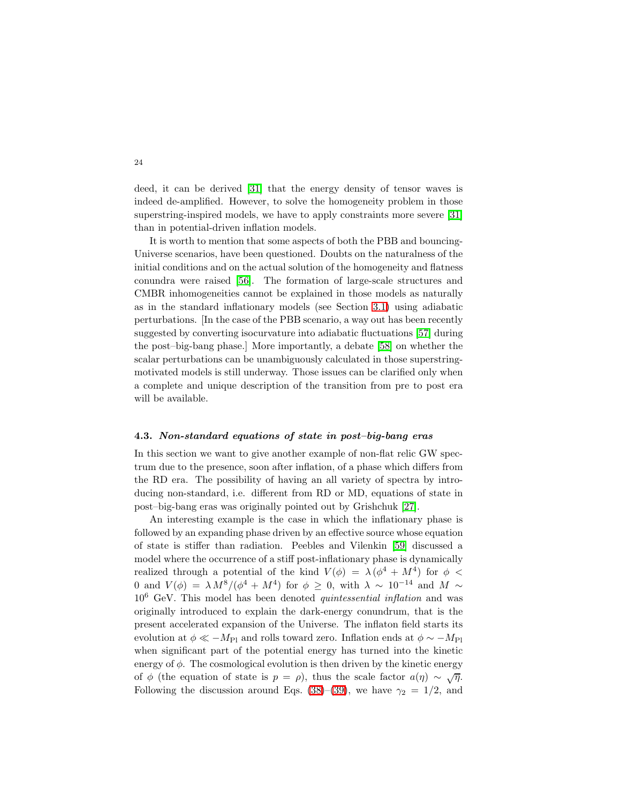deed, it can be derived [\[31\]](#page-34-23) that the energy density of tensor waves is indeed de-amplified. However, to solve the homogeneity problem in those superstring-inspired models, we have to apply constraints more severe [\[31\]](#page-34-23) than in potential-driven inflation models.

It is worth to mention that some aspects of both the PBB and bouncing-Universe scenarios, have been questioned. Doubts on the naturalness of the initial conditions and on the actual solution of the homogeneity and flatness conundra were raised [\[56\]](#page-35-17). The formation of large-scale structures and CMBR inhomogeneities cannot be explained in those models as naturally as in the standard inflationary models (see Section [3.1\)](#page-3-4) using adiabatic perturbations. [In the case of the PBB scenario, a way out has been recently suggested by converting isocurvature into adiabatic fluctuations [\[57\]](#page-35-18) during the post–big-bang phase.] More importantly, a debate [\[58\]](#page-35-19) on whether the scalar perturbations can be unambiguously calculated in those superstringmotivated models is still underway. Those issues can be clarified only when a complete and unique description of the transition from pre to post era will be available.

#### <span id="page-23-0"></span>4.3. Non-standard equations of state in post–big-bang eras

In this section we want to give another example of non-flat relic GW spectrum due to the presence, soon after inflation, of a phase which differs from the RD era. The possibility of having an all variety of spectra by introducing non-standard, i.e. different from RD or MD, equations of state in post–big-bang eras was originally pointed out by Grishchuk [\[27\]](#page-34-18).

An interesting example is the case in which the inflationary phase is followed by an expanding phase driven by an effective source whose equation of state is stiffer than radiation. Peebles and Vilenkin [\[59\]](#page-35-20) discussed a model where the occurrence of a stiff post-inflationary phase is dynamically realized through a potential of the kind  $V(\phi) = \lambda (\phi^4 + M^4)$  for  $\phi$  < 0 and  $V(\phi) = \lambda M^8/(\phi^4 + M^4)$  for  $\phi \geq 0$ , with  $\lambda \sim 10^{-14}$  and  $M \sim$  $10^6$  GeV. This model has been denoted *quintessential inflation* and was originally introduced to explain the dark-energy conundrum, that is the present accelerated expansion of the Universe. The inflaton field starts its evolution at  $\phi \ll -M_{\text{Pl}}$  and rolls toward zero. Inflation ends at  $\phi \sim -M_{\text{Pl}}$ when significant part of the potential energy has turned into the kinetic energy of  $\phi$ . The cosmological evolution is then driven by the kinetic energy of  $\phi$  (the equation of state is  $p = \rho$ ), thus the scale factor  $a(\eta) \sim \sqrt{\eta}$ . Following the discussion around Eqs. [\(38\)](#page-17-0)–[\(39\)](#page-18-1), we have  $\gamma_2 = 1/2$ , and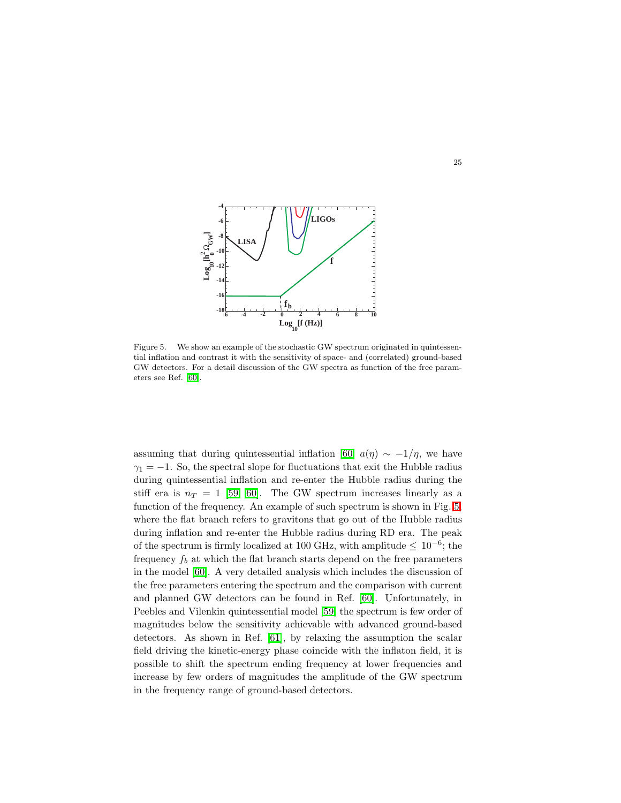

<span id="page-24-0"></span>Figure 5. We show an example of the stochastic GW spectrum originated in quintessential inflation and contrast it with the sensitivity of space- and (correlated) ground-based GW detectors. For a detail discussion of the GW spectra as function of the free parameters see Ref. [\[60\]](#page-35-21).

assuming that during quintessential inflation [\[60\]](#page-35-21)  $a(\eta) \sim -1/\eta$ , we have  $\gamma_1 = -1$ . So, the spectral slope for fluctuations that exit the Hubble radius during quintessential inflation and re-enter the Hubble radius during the stiff era is  $n_T = 1$  [\[59,](#page-35-20) [60\]](#page-35-21). The GW spectrum increases linearly as a function of the frequency. An example of such spectrum is shown in Fig. [5,](#page-24-0) where the flat branch refers to gravitons that go out of the Hubble radius during inflation and re-enter the Hubble radius during RD era. The peak of the spectrum is firmly localized at 100 GHz, with amplitude  $\leq 10^{-6}$ ; the frequency  $f_b$  at which the flat branch starts depend on the free parameters in the model [\[60\]](#page-35-21). A very detailed analysis which includes the discussion of the free parameters entering the spectrum and the comparison with current and planned GW detectors can be found in Ref. [\[60\]](#page-35-21). Unfortunately, in Peebles and Vilenkin quintessential model [\[59\]](#page-35-20) the spectrum is few order of magnitudes below the sensitivity achievable with advanced ground-based detectors. As shown in Ref. [\[61\]](#page-35-22), by relaxing the assumption the scalar field driving the kinetic-energy phase coincide with the inflaton field, it is possible to shift the spectrum ending frequency at lower frequencies and increase by few orders of magnitudes the amplitude of the GW spectrum in the frequency range of ground-based detectors.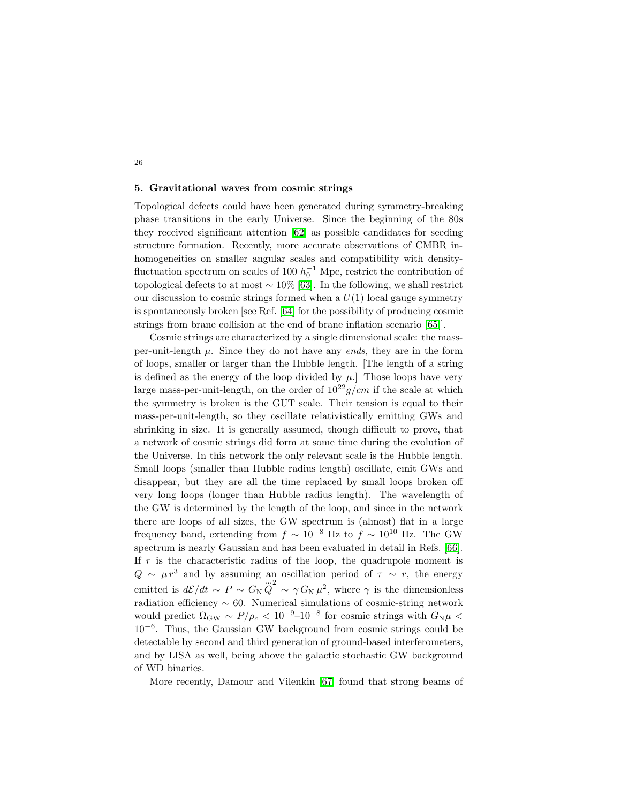## <span id="page-25-0"></span>5. Gravitational waves from cosmic strings

26

Topological defects could have been generated during symmetry-breaking phase transitions in the early Universe. Since the beginning of the 80s they received significant attention [\[62\]](#page-35-23) as possible candidates for seeding structure formation. Recently, more accurate observations of CMBR inhomogeneities on smaller angular scales and compatibility with densityfluctuation spectrum on scales of 100  $h_0^{-1}$  Mpc, restrict the contribution of topological defects to at most  $\sim 10\%$  [\[63\]](#page-35-24). In the following, we shall restrict our discussion to cosmic strings formed when a  $U(1)$  local gauge symmetry is spontaneously broken [see Ref. [\[64\]](#page-35-25) for the possibility of producing cosmic strings from brane collision at the end of brane inflation scenario [\[65\]](#page-35-26)].

Cosmic strings are characterized by a single dimensional scale: the massper-unit-length  $\mu$ . Since they do not have any *ends*, they are in the form of loops, smaller or larger than the Hubble length. [The length of a string is defined as the energy of the loop divided by  $\mu$ . Those loops have very large mass-per-unit-length, on the order of  $10^{22} g/cm$  if the scale at which the symmetry is broken is the GUT scale. Their tension is equal to their mass-per-unit-length, so they oscillate relativistically emitting GWs and shrinking in size. It is generally assumed, though difficult to prove, that a network of cosmic strings did form at some time during the evolution of the Universe. In this network the only relevant scale is the Hubble length. Small loops (smaller than Hubble radius length) oscillate, emit GWs and disappear, but they are all the time replaced by small loops broken off very long loops (longer than Hubble radius length). The wavelength of the GW is determined by the length of the loop, and since in the network there are loops of all sizes, the GW spectrum is (almost) flat in a large frequency band, extending from  $f \sim 10^{-8}$  Hz to  $f \sim 10^{10}$  Hz. The GW spectrum is nearly Gaussian and has been evaluated in detail in Refs. [\[66\]](#page-35-27). If  $r$  is the characteristic radius of the loop, the quadrupole moment is  $Q \sim \mu r^3$  and by assuming an oscillation period of  $\tau \sim r$ , the energy emitted is  $d\mathcal{E}/dt \sim P \sim G_{\rm N} \ddot{Q}^2 \sim \gamma G_{\rm N} \mu^2$ , where  $\gamma$  is the dimensionless radiation efficiency  $\sim 60$ . Numerical simulations of cosmic-string network would predict  $\Omega_{\rm GW} \sim P/\rho_c < 10^{-9}$ -10<sup>-8</sup> for cosmic strings with  $G_{\rm N}\mu$  < 10−<sup>6</sup> . Thus, the Gaussian GW background from cosmic strings could be detectable by second and third generation of ground-based interferometers, and by LISA as well, being above the galactic stochastic GW background of WD binaries.

More recently, Damour and Vilenkin [\[67\]](#page-35-28) found that strong beams of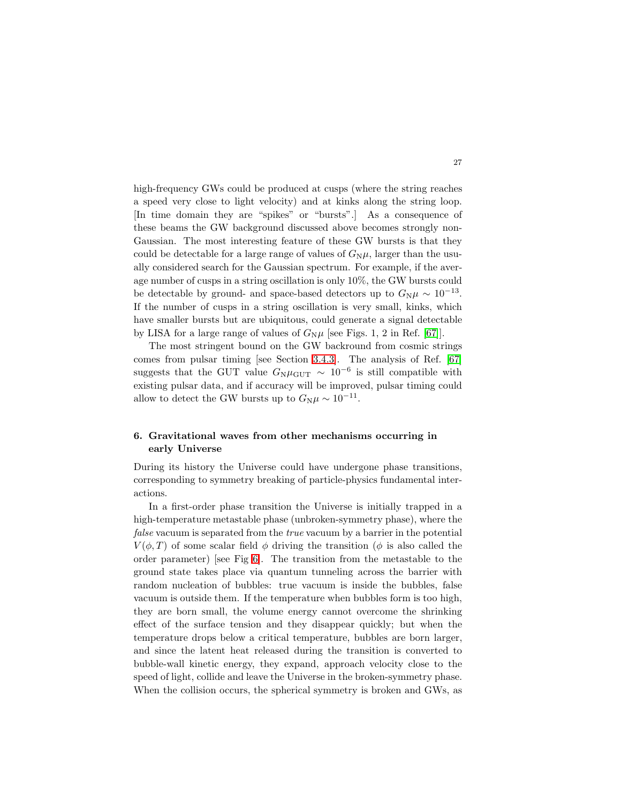high-frequency GWs could be produced at cusps (where the string reaches a speed very close to light velocity) and at kinks along the string loop. [In time domain they are "spikes" or "bursts".] As a consequence of these beams the GW background discussed above becomes strongly non-Gaussian. The most interesting feature of these GW bursts is that they could be detectable for a large range of values of  $G_{\rm N}\mu$ , larger than the usually considered search for the Gaussian spectrum. For example, if the average number of cusps in a string oscillation is only 10%, the GW bursts could be detectable by ground- and space-based detectors up to  $G_N \mu \sim 10^{-13}$ . If the number of cusps in a string oscillation is very small, kinks, which have smaller bursts but are ubiquitous, could generate a signal detectable by LISA for a large range of values of  $G_N \mu$  [see Figs. 1, 2 in Ref. [\[67\]](#page-35-28)].

The most stringent bound on the GW backround from cosmic strings comes from pulsar timing [see Section [3.4.3\]](#page-9-2). The analysis of Ref. [\[67\]](#page-35-28) suggests that the GUT value  $G_{\rm N}\mu_{\rm GUT} \sim 10^{-6}$  is still compatible with existing pulsar data, and if accuracy will be improved, pulsar timing could allow to detect the GW bursts up to  $G_N \mu \sim 10^{-11}$ .

# <span id="page-26-0"></span>6. Gravitational waves from other mechanisms occurring in early Universe

During its history the Universe could have undergone phase transitions, corresponding to symmetry breaking of particle-physics fundamental interactions.

In a first-order phase transition the Universe is initially trapped in a high-temperature metastable phase (unbroken-symmetry phase), where the false vacuum is separated from the true vacuum by a barrier in the potential  $V(\phi, T)$  of some scalar field  $\phi$  driving the transition ( $\phi$  is also called the order parameter) [see Fig [6\]](#page-27-0). The transition from the metastable to the ground state takes place via quantum tunneling across the barrier with random nucleation of bubbles: true vacuum is inside the bubbles, false vacuum is outside them. If the temperature when bubbles form is too high, they are born small, the volume energy cannot overcome the shrinking effect of the surface tension and they disappear quickly; but when the temperature drops below a critical temperature, bubbles are born larger, and since the latent heat released during the transition is converted to bubble-wall kinetic energy, they expand, approach velocity close to the speed of light, collide and leave the Universe in the broken-symmetry phase. When the collision occurs, the spherical symmetry is broken and GWs, as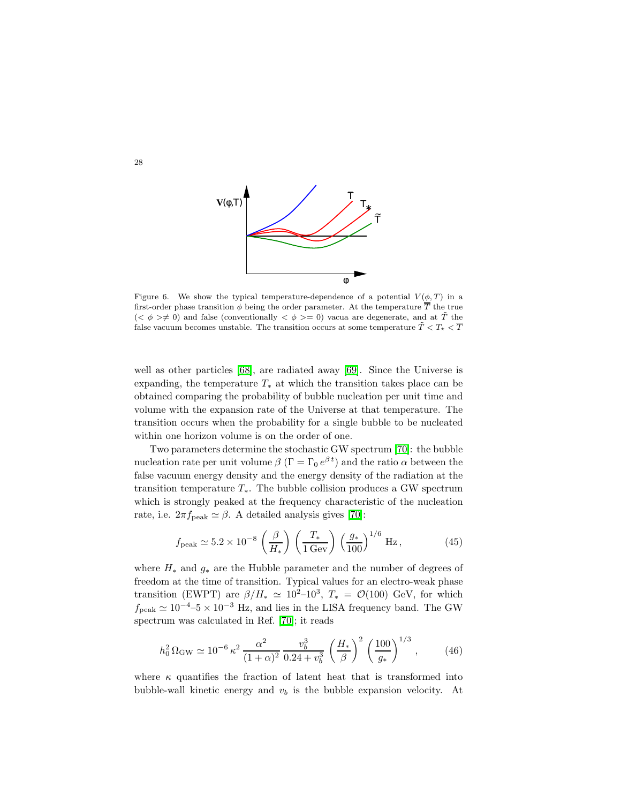

<span id="page-27-0"></span>Figure 6. We show the typical temperature-dependence of a potential  $V(\phi, T)$  in a first-order phase transition  $\phi$  being the order parameter. At the temperature  $\overline{T}$  the true  $( $\phi \geq \neq 0$ ) and false (conventionally  $$\phi \geq 0$ ) vacua are degenerate, and at  $\tilde{T}$  the$$ false vacuum becomes unstable. The transition occurs at some temperature  $\tilde{T} < T_{\star} < \overline{T}$ 

well as other particles [\[68\]](#page-35-29), are radiated away [\[69\]](#page-36-0). Since the Universe is expanding, the temperature  $T_*$  at which the transition takes place can be obtained comparing the probability of bubble nucleation per unit time and volume with the expansion rate of the Universe at that temperature. The transition occurs when the probability for a single bubble to be nucleated within one horizon volume is on the order of one.

Two parameters determine the stochastic GW spectrum [\[70\]](#page-36-1): the bubble nucleation rate per unit volume  $\beta$  ( $\Gamma = \Gamma_0 e^{\beta t}$ ) and the ratio  $\alpha$  between the false vacuum energy density and the energy density of the radiation at the transition temperature  $T_*$ . The bubble collision produces a GW spectrum which is strongly peaked at the frequency characteristic of the nucleation rate, i.e.  $2\pi f_{\text{peak}} \simeq \beta$ . A detailed analysis gives [\[70\]](#page-36-1):

$$
f_{\text{peak}} \simeq 5.2 \times 10^{-8} \left(\frac{\beta}{H_*}\right) \left(\frac{T_*}{1 \,\text{Gev}}\right) \left(\frac{g_*}{100}\right)^{1/6} \,\text{Hz},
$$
 (45)

where  $H_*$  and  $g_*$  are the Hubble parameter and the number of degrees of freedom at the time of transition. Typical values for an electro-weak phase transition (EWPT) are  $\beta/H_* \simeq 10^{2}-10^{3}$ ,  $T_* = \mathcal{O}(100)$  GeV, for which  $f_{\text{peak}} \simeq 10^{-4}$ –5 × 10<sup>-3</sup> Hz, and lies in the LISA frequency band. The GW spectrum was calculated in Ref. [\[70\]](#page-36-1); it reads

$$
h_0^2 \,\Omega_{\rm GW} \simeq 10^{-6} \,\kappa^2 \,\frac{\alpha^2}{(1+\alpha)^2} \,\frac{v_b^3}{0.24 + v_b^3} \,\left(\frac{H_*}{\beta}\right)^2 \,\left(\frac{100}{g_*}\right)^{1/3},\tag{46}
$$

where  $\kappa$  quantifies the fraction of latent heat that is transformed into bubble-wall kinetic energy and  $v<sub>b</sub>$  is the bubble expansion velocity. At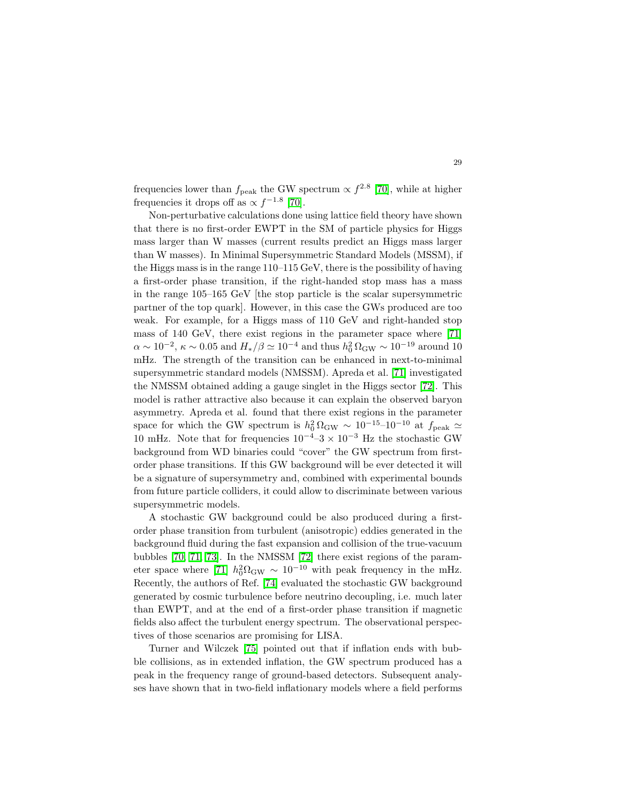frequencies lower than  $f_{\text{peak}}$  the GW spectrum  $\propto f^{2.8}$  [\[70\]](#page-36-1), while at higher frequencies it drops off as  $\propto f^{-1.8}$  [\[70\]](#page-36-1).

Non-perturbative calculations done using lattice field theory have shown that there is no first-order EWPT in the SM of particle physics for Higgs mass larger than W masses (current results predict an Higgs mass larger than W masses). In Minimal Supersymmetric Standard Models (MSSM), if the Higgs mass is in the range 110–115 GeV, there is the possibility of having a first-order phase transition, if the right-handed stop mass has a mass in the range 105–165 GeV [the stop particle is the scalar supersymmetric partner of the top quark]. However, in this case the GWs produced are too weak. For example, for a Higgs mass of 110 GeV and right-handed stop mass of 140 GeV, there exist regions in the parameter space where [\[71\]](#page-36-2)  $\alpha \sim 10^{-2}$ ,  $\kappa \sim 0.05$  and  $H_*/\beta \simeq 10^{-4}$  and thus  $h_0^2 \Omega_{\rm GW} \sim 10^{-19}$  around 10 mHz. The strength of the transition can be enhanced in next-to-minimal supersymmetric standard models (NMSSM). Apreda et al. [\[71\]](#page-36-2) investigated the NMSSM obtained adding a gauge singlet in the Higgs sector [\[72\]](#page-36-3). This model is rather attractive also because it can explain the observed baryon asymmetry. Apreda et al. found that there exist regions in the parameter space for which the GW spectrum is  $h_0^2 \Omega_{\rm GW} \sim 10^{-15}$ -10<sup>-10</sup> at  $f_{\rm peak} \simeq$ 10 mHz. Note that for frequencies  $10^{-4}$ –3 ×  $10^{-3}$  Hz the stochastic GW background from WD binaries could "cover" the GW spectrum from firstorder phase transitions. If this GW background will be ever detected it will be a signature of supersymmetry and, combined with experimental bounds from future particle colliders, it could allow to discriminate between various supersymmetric models.

A stochastic GW background could be also produced during a firstorder phase transition from turbulent (anisotropic) eddies generated in the background fluid during the fast expansion and collision of the true-vacuum bubbles [\[70,](#page-36-1) [71,](#page-36-2) [73\]](#page-36-4). In the NMSSM [\[72\]](#page-36-3) there exist regions of the param-eter space where [\[71\]](#page-36-2)  $h_0^2 \Omega_{\rm GW} \sim 10^{-10}$  with peak frequency in the mHz. Recently, the authors of Ref. [\[74\]](#page-36-5) evaluated the stochastic GW background generated by cosmic turbulence before neutrino decoupling, i.e. much later than EWPT, and at the end of a first-order phase transition if magnetic fields also affect the turbulent energy spectrum. The observational perspectives of those scenarios are promising for LISA.

Turner and Wilczek [\[75\]](#page-36-6) pointed out that if inflation ends with bubble collisions, as in extended inflation, the GW spectrum produced has a peak in the frequency range of ground-based detectors. Subsequent analyses have shown that in two-field inflationary models where a field performs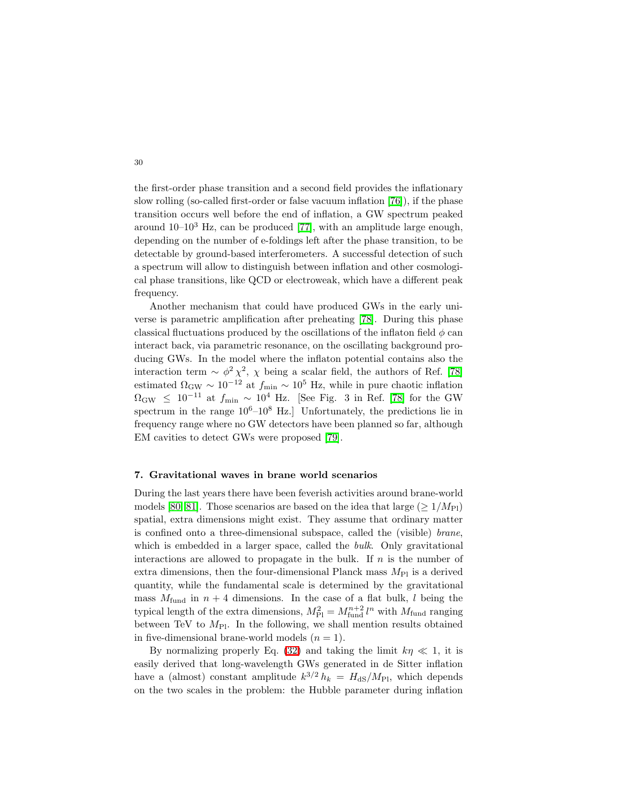the first-order phase transition and a second field provides the inflationary slow rolling (so-called first-order or false vacuum inflation [\[76\]](#page-36-7)), if the phase transition occurs well before the end of inflation, a GW spectrum peaked around  $10-10^3$  Hz, can be produced [\[77\]](#page-36-8), with an amplitude large enough, depending on the number of e-foldings left after the phase transition, to be detectable by ground-based interferometers. A successful detection of such a spectrum will allow to distinguish between inflation and other cosmological phase transitions, like QCD or electroweak, which have a different peak frequency.

Another mechanism that could have produced GWs in the early universe is parametric amplification after preheating [\[78\]](#page-36-9). During this phase classical fluctuations produced by the oscillations of the inflaton field  $\phi$  can interact back, via parametric resonance, on the oscillating background producing GWs. In the model where the inflaton potential contains also the interaction term  $\sim \phi^2 \chi^2$ ,  $\chi$  being a scalar field, the authors of Ref. [\[78\]](#page-36-9) estimated  $\Omega_{\rm GW} \sim 10^{-12}$  at  $f_{\rm min} \sim 10^5$  Hz, while in pure chaotic inflation  $\Omega_{\rm GW} \leq 10^{-11}$  at  $f_{\rm min} \sim 10^4$  Hz. [See Fig. 3 in Ref. [\[78\]](#page-36-9) for the GW spectrum in the range  $10^6$ – $10^8$  Hz. Unfortunately, the predictions lie in frequency range where no GW detectors have been planned so far, although EM cavities to detect GWs were proposed [\[79\]](#page-36-10).

#### <span id="page-29-0"></span>7. Gravitational waves in brane world scenarios

During the last years there have been feverish activities around brane-world models [\[80,](#page-36-11) [81\]](#page-36-12). Those scenarios are based on the idea that large ( $\geq 1/M_{\text{Pl}}$ ) spatial, extra dimensions might exist. They assume that ordinary matter is confined onto a three-dimensional subspace, called the (visible) brane, which is embedded in a larger space, called the *bulk*. Only gravitational interactions are allowed to propagate in the bulk. If  $n$  is the number of extra dimensions, then the four-dimensional Planck mass  $M_{\text{Pl}}$  is a derived quantity, while the fundamental scale is determined by the gravitational mass  $M_{\text{fund}}$  in  $n+4$  dimensions. In the case of a flat bulk, l being the typical length of the extra dimensions,  $M_{\rm Pl}^2 = M_{\rm fund}^{n+2} l^n$  with  $M_{\rm fund}$  ranging between TeV to  $M_{\text{Pl}}$ . In the following, we shall mention results obtained in five-dimensional brane-world models  $(n = 1)$ .

By normalizing properly Eq. [\(32\)](#page-14-0) and taking the limit  $k\eta \ll 1$ , it is easily derived that long-wavelength GWs generated in de Sitter inflation have a (almost) constant amplitude  $k^{3/2} h_k = H_{dS}/M_{Pl}$ , which depends on the two scales in the problem: the Hubble parameter during inflation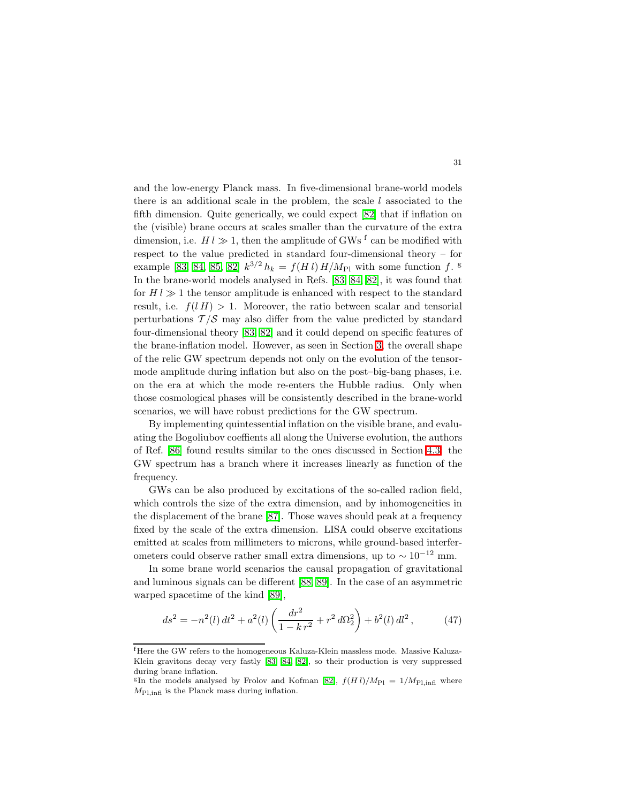and the low-energy Planck mass. In five-dimensional brane-world models there is an additional scale in the problem, the scale  $l$  associated to the fifth dimension. Quite generically, we could expect [\[82\]](#page-36-13) that if inflation on the (visible) brane occurs at scales smaller than the curvature of the extra dimension, i.e.  $H l \gg 1$ , then the amplitude of GWs <sup>f</sup> can be modified with respect to the value predicted in standard four-dimensional theory – for example [\[83,](#page-36-14) [84,](#page-36-15) [85,](#page-36-16) [82\]](#page-36-13)  $k^{3/2} h_k = f(H l) H/M_{\text{Pl}}$  with some function f. <sup>g</sup> In the brane-world models analysed in Refs. [\[83,](#page-36-14) [84,](#page-36-15) [82\]](#page-36-13), it was found that for  $H l \gg 1$  the tensor amplitude is enhanced with respect to the standard result, i.e.  $f(l H) > 1$ . Moreover, the ratio between scalar and tensorial perturbations  $\mathcal{T}/\mathcal{S}$  may also differ from the value predicted by standard four-dimensional theory [\[83,](#page-36-14) [82\]](#page-36-13) and it could depend on specific features of the brane-inflation model. However, as seen in Section [3,](#page-3-0) the overall shape of the relic GW spectrum depends not only on the evolution of the tensormode amplitude during inflation but also on the post–big-bang phases, i.e. on the era at which the mode re-enters the Hubble radius. Only when those cosmological phases will be consistently described in the brane-world scenarios, we will have robust predictions for the GW spectrum.

By implementing quintessential inflation on the visible brane, and evaluating the Bogoliubov coeffients all along the Universe evolution, the authors of Ref. [\[86\]](#page-36-17) found results similar to the ones discussed in Section [4.3:](#page-23-0) the GW spectrum has a branch where it increases linearly as function of the frequency.

GWs can be also produced by excitations of the so-called radion field, which controls the size of the extra dimension, and by inhomogeneities in the displacement of the brane [\[87\]](#page-36-18). Those waves should peak at a frequency fixed by the scale of the extra dimension. LISA could observe excitations emitted at scales from millimeters to microns, while ground-based interferometers could observe rather small extra dimensions, up to  $\sim 10^{-12}$  mm.

In some brane world scenarios the causal propagation of gravitational and luminous signals can be different [\[88,](#page-36-19) [89\]](#page-36-20). In the case of an asymmetric warped spacetime of the kind [\[89\]](#page-36-20),

$$
ds^{2} = -n^{2}(l) dt^{2} + a^{2}(l) \left( \frac{dr^{2}}{1 - k r^{2}} + r^{2} d\Omega_{2}^{2} \right) + b^{2}(l) dl^{2}, \qquad (47)
$$

<sup>f</sup>Here the GW refers to the homogeneous Kaluza-Klein massless mode. Massive Kaluza-Klein gravitons decay very fastly [\[83,](#page-36-14) [84,](#page-36-15) [82\]](#page-36-13), so their production is very suppressed during brane inflation.

<sup>&</sup>lt;sup>g</sup>In the models analysed by Frolov and Kofman [\[82\]](#page-36-13),  $f(H l)/M_{\text{Pl}} = 1/M_{\text{Pl, infl}}$  where  $M_{\text{Pl,infl}}$  is the Planck mass during inflation.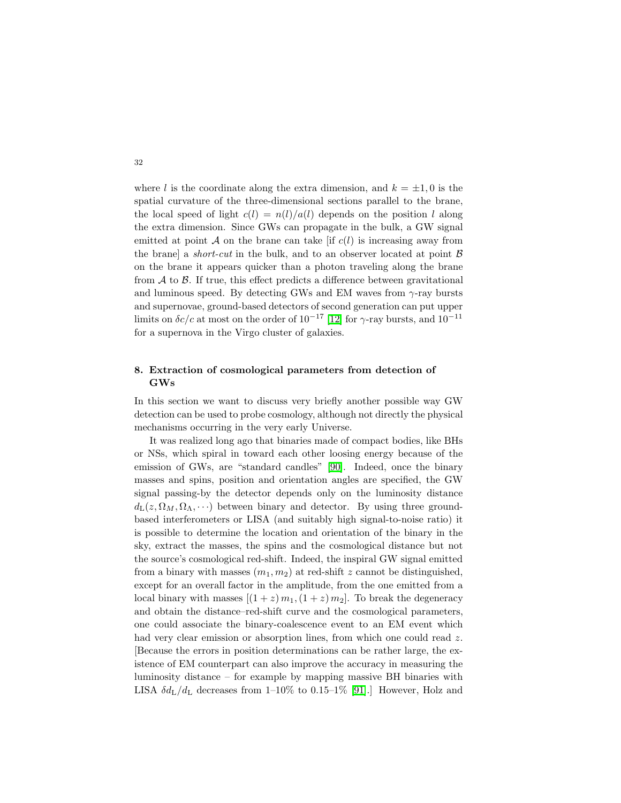where l is the coordinate along the extra dimension, and  $k = \pm 1, 0$  is the spatial curvature of the three-dimensional sections parallel to the brane, the local speed of light  $c(l) = n(l)/a(l)$  depends on the position l along the extra dimension. Since GWs can propagate in the bulk, a GW signal emitted at point A on the brane can take [if  $c(l)$  is increasing away from the brane a *short-cut* in the bulk, and to an observer located at point  $\beta$ on the brane it appears quicker than a photon traveling along the brane from  $A$  to  $B$ . If true, this effect predicts a difference between gravitational and luminous speed. By detecting GWs and EM waves from  $\gamma$ -ray bursts and supernovae, ground-based detectors of second generation can put upper limits on  $\delta c/c$  at most on the order of  $10^{-17}$  [\[12\]](#page-34-3) for  $\gamma$ -ray bursts, and  $10^{-11}$ for a supernova in the Virgo cluster of galaxies.

# <span id="page-31-0"></span>8. Extraction of cosmological parameters from detection of GWs

In this section we want to discuss very briefly another possible way GW detection can be used to probe cosmology, although not directly the physical mechanisms occurring in the very early Universe.

It was realized long ago that binaries made of compact bodies, like BHs or NSs, which spiral in toward each other loosing energy because of the emission of GWs, are "standard candles" [\[90\]](#page-36-21). Indeed, once the binary masses and spins, position and orientation angles are specified, the GW signal passing-by the detector depends only on the luminosity distance  $d_{\text{L}}(z, \Omega_M, \Omega_\Lambda, \cdots)$  between binary and detector. By using three groundbased interferometers or LISA (and suitably high signal-to-noise ratio) it is possible to determine the location and orientation of the binary in the sky, extract the masses, the spins and the cosmological distance but not the source's cosmological red-shift. Indeed, the inspiral GW signal emitted from a binary with masses  $(m_1, m_2)$  at red-shift z cannot be distinguished, except for an overall factor in the amplitude, from the one emitted from a local binary with masses  $[(1 + z) m_1, (1 + z) m_2]$ . To break the degeneracy and obtain the distance–red-shift curve and the cosmological parameters, one could associate the binary-coalescence event to an EM event which had very clear emission or absorption lines, from which one could read z. [Because the errors in position determinations can be rather large, the existence of EM counterpart can also improve the accuracy in measuring the luminosity distance – for example by mapping massive BH binaries with LISA  $\delta d_{\rm L}/d_{\rm L}$  decreases from 1–10% to 0.15–1% [\[91\]](#page-36-22).] However, Holz and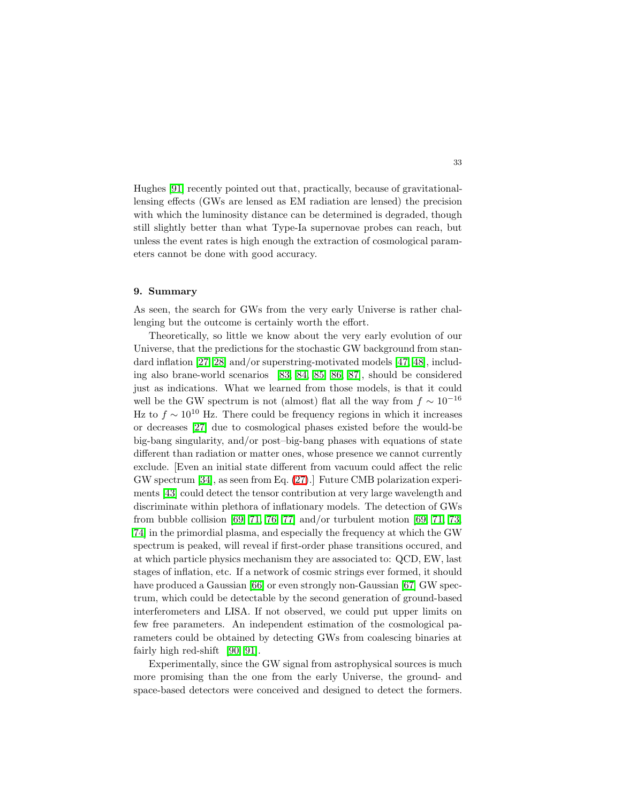Hughes [\[91\]](#page-36-22) recently pointed out that, practically, because of gravitationallensing effects (GWs are lensed as EM radiation are lensed) the precision with which the luminosity distance can be determined is degraded, though still slightly better than what Type-Ia supernovae probes can reach, but unless the event rates is high enough the extraction of cosmological parameters cannot be done with good accuracy.

### <span id="page-32-0"></span>9. Summary

As seen, the search for GWs from the very early Universe is rather challenging but the outcome is certainly worth the effort.

Theoretically, so little we know about the very early evolution of our Universe, that the predictions for the stochastic GW background from standard inflation [\[27,](#page-34-18) [28\]](#page-34-19) and/or superstring-motivated models [\[47,](#page-35-9) [48\]](#page-35-10), including also brane-world scenarios [\[83,](#page-36-14) [84,](#page-36-15) [85,](#page-36-16) [86,](#page-36-17) [87\]](#page-36-18), should be considered just as indications. What we learned from those models, is that it could well be the GW spectrum is not (almost) flat all the way from  $f \sim 10^{-16}$ Hz to  $f \sim 10^{10}$  Hz. There could be frequency regions in which it increases or decreases [\[27\]](#page-34-18) due to cosmological phases existed before the would-be big-bang singularity, and/or post–big-bang phases with equations of state different than radiation or matter ones, whose presence we cannot currently exclude. [Even an initial state different from vacuum could affect the relic GW spectrum [\[34\]](#page-34-25), as seen from Eq. [\(27\)](#page-12-1).] Future CMB polarization experiments [\[43\]](#page-35-4) could detect the tensor contribution at very large wavelength and discriminate within plethora of inflationary models. The detection of GWs from bubble collision [\[69,](#page-36-0) [71,](#page-36-2) [76,](#page-36-7) [77\]](#page-36-8) and/or turbulent motion [69, 71, [73,](#page-36-4) [74\]](#page-36-5) in the primordial plasma, and especially the frequency at which the GW spectrum is peaked, will reveal if first-order phase transitions occured, and at which particle physics mechanism they are associated to: QCD, EW, last stages of inflation, etc. If a network of cosmic strings ever formed, it should have produced a Gaussian [\[66\]](#page-35-27) or even strongly non-Gaussian [\[67\]](#page-35-28) GW spectrum, which could be detectable by the second generation of ground-based interferometers and LISA. If not observed, we could put upper limits on few free parameters. An independent estimation of the cosmological parameters could be obtained by detecting GWs from coalescing binaries at fairly high red-shift [\[90,](#page-36-21) [91\]](#page-36-22).

Experimentally, since the GW signal from astrophysical sources is much more promising than the one from the early Universe, the ground- and space-based detectors were conceived and designed to detect the formers.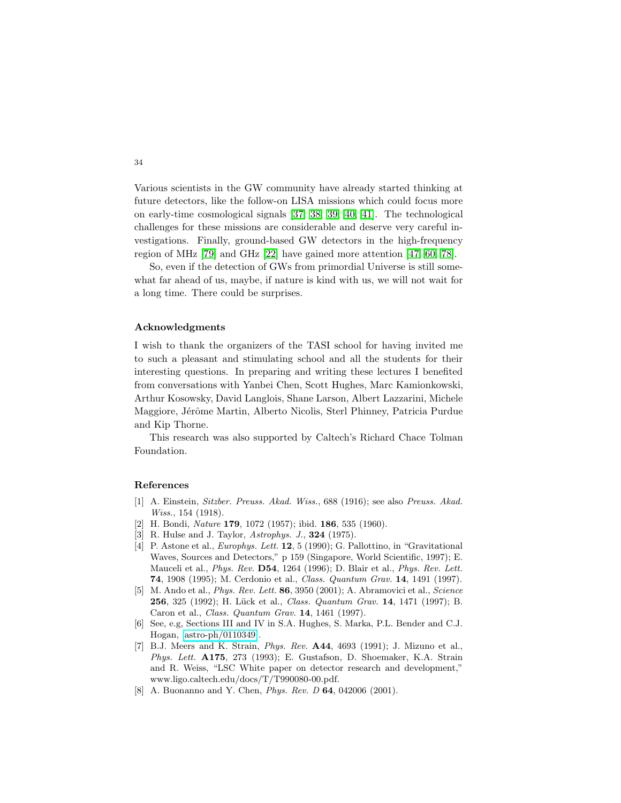Various scientists in the GW community have already started thinking at future detectors, like the follow-on LISA missions which could focus more on early-time cosmological signals [\[37,](#page-34-28) [38,](#page-34-29) [39,](#page-35-1) [40,](#page-35-0) [41\]](#page-35-2). The technological challenges for these missions are considerable and deserve very careful investigations. Finally, ground-based GW detectors in the high-frequency region of MHz [\[79\]](#page-36-10) and GHz [\[22\]](#page-34-13) have gained more attention [\[47,](#page-35-9) [60,](#page-35-21) [78\]](#page-36-9).

So, even if the detection of GWs from primordial Universe is still somewhat far ahead of us, maybe, if nature is kind with us, we will not wait for a long time. There could be surprises.

# Acknowledgments

I wish to thank the organizers of the TASI school for having invited me to such a pleasant and stimulating school and all the students for their interesting questions. In preparing and writing these lectures I benefited from conversations with Yanbei Chen, Scott Hughes, Marc Kamionkowski, Arthur Kosowsky, David Langlois, Shane Larson, Albert Lazzarini, Michele Maggiore, Jérôme Martin, Alberto Nicolis, Sterl Phinney, Patricia Purdue and Kip Thorne.

This research was also supported by Caltech's Richard Chace Tolman Foundation.

# <span id="page-33-0"></span>References

- <span id="page-33-1"></span>[1] A. Einstein, *Sitzber. Preuss. Akad. Wiss.*, 688 (1916); see also *Preuss. Akad. Wiss.*, 154 (1918).
- [2] H. Bondi, *Nature* 179, 1072 (1957); ibid. 186, 535 (1960).
- <span id="page-33-3"></span><span id="page-33-2"></span>[3] R. Hulse and J. Taylor, *Astrophys. J.*, 324 (1975).
- [4] P. Astone et al., *Europhys. Lett.* 12, 5 (1990); G. Pallottino, in "Gravitational Waves, Sources and Detectors," p 159 (Singapore, World Scientific, 1997); E. Mauceli et al., *Phys. Rev.* D54, 1264 (1996); D. Blair et al., *Phys. Rev. Lett.* 74, 1908 (1995); M. Cerdonio et al., *Class. Quantum Grav.* 14, 1491 (1997).
- <span id="page-33-4"></span>[5] M. Ando et al., *Phys. Rev. Lett.* 86, 3950 (2001); A. Abramovici et al., *Science* 256, 325 (1992); H. Lück et al., *Class. Quantum Grav.* 14, 1471 (1997); B. Caron et al., *Class. Quantum Grav.* 14, 1461 (1997).
- <span id="page-33-5"></span>[6] See, e.g, Sections III and IV in S.A. Hughes, S. Marka, P.L. Bender and C.J. Hogan, [\[astro-ph/0110349\]](http://arxiv.org/abs/astro-ph/0110349).
- <span id="page-33-6"></span>[7] B.J. Meers and K. Strain, *Phys. Rev.* A44, 4693 (1991); J. Mizuno et al., *Phys. Lett.* A175, 273 (1993); E. Gustafson, D. Shoemaker, K.A. Strain and R. Weiss, "LSC White paper on detector research and development," www.ligo.caltech.edu/docs/T/T990080-00.pdf.
- <span id="page-33-7"></span>[8] A. Buonanno and Y. Chen, *Phys. Rev. D* 64, 042006 (2001).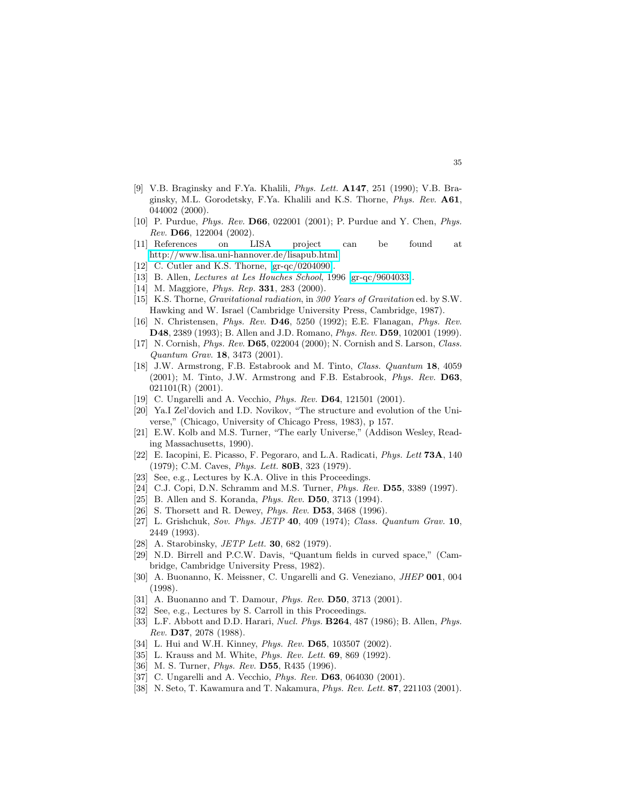- <span id="page-34-0"></span>[9] V.B. Braginsky and F.Ya. Khalili, *Phys. Lett.* A147, 251 (1990); V.B. Braginsky, M.L. Gorodetsky, F.Ya. Khalili and K.S. Thorne, *Phys. Rev.* A61, 044002 (2000).
- <span id="page-34-1"></span>[10] P. Purdue, *Phys. Rev.* D66, 022001 (2001); P. Purdue and Y. Chen, *Phys. Rev.* D66, 122004 (2002).
- <span id="page-34-2"></span>[11] References on LISA project can be found at [http://www.lisa.uni-hannover.de/lisapub.html.](http://www.lisa.uni-hannover.de/lisapub.html)
- <span id="page-34-4"></span><span id="page-34-3"></span>[12] C. Cutler and K.S. Thorne, [\[gr-qc/0204090\]](http://arxiv.org/abs/gr-qc/0204090).
- <span id="page-34-5"></span>[13] B. Allen, *Lectures at Les Houches School*, 1996 [\[gr-qc/9604033\]](http://arxiv.org/abs/gr-qc/9604033).
- <span id="page-34-6"></span>[14] M. Maggiore, *Phys. Rep.* 331, 283 (2000).
- [15] K.S. Thorne, *Gravitational radiation*, in *300 Years of Gravitation* ed. by S.W. Hawking and W. Israel (Cambridge University Press, Cambridge, 1987).
- <span id="page-34-7"></span>[16] N. Christensen, *Phys. Rev.* D46, 5250 (1992); E.E. Flanagan, *Phys. Rev.* D48, 2389 (1993); B. Allen and J.D. Romano, *Phys. Rev.* D59, 102001 (1999).
- <span id="page-34-8"></span>[17] N. Cornish, *Phys. Rev.* D65, 022004 (2000); N. Cornish and S. Larson, *Class. Quantum Grav.* 18, 3473 (2001).
- <span id="page-34-9"></span>[18] J.W. Armstrong, F.B. Estabrook and M. Tinto, *Class. Quantum* 18, 4059 (2001); M. Tinto, J.W. Armstrong and F.B. Estabrook, *Phys. Rev.* D63, 021101(R) (2001).
- <span id="page-34-11"></span><span id="page-34-10"></span>[19] C. Ungarelli and A. Vecchio, *Phys. Rev.* D64, 121501 (2001).
- [20] Ya.I Zel'dovich and I.D. Novikov, "The structure and evolution of the Universe," (Chicago, University of Chicago Press, 1983), p 157.
- <span id="page-34-12"></span>[21] E.W. Kolb and M.S. Turner, "The early Universe," (Addison Wesley, Reading Massachusetts, 1990).
- <span id="page-34-14"></span><span id="page-34-13"></span>[22] E. Iacopini, E. Picasso, F. Pegoraro, and L.A. Radicati, *Phys. Lett* 73A, 140 (1979); C.M. Caves, *Phys. Lett.* 80B, 323 (1979).
- [23] See, e.g., Lectures by K.A. Olive in this Proceedings.
- <span id="page-34-16"></span><span id="page-34-15"></span>[24] C.J. Copi, D.N. Schramm and M.S. Turner, *Phys. Rev.* D55, 3389 (1997).
- <span id="page-34-17"></span>[25] B. Allen and S. Koranda, *Phys. Rev.* D50, 3713 (1994).
- <span id="page-34-18"></span>[26] S. Thorsett and R. Dewey, *Phys. Rev.* D53, 3468 (1996).
- [27] L. Grishchuk, *Sov. Phys. JETP* 40, 409 (1974); *Class. Quantum Grav.* 10, 2449 (1993).
- <span id="page-34-20"></span><span id="page-34-19"></span>[28] A. Starobinsky, *JETP Lett.* 30, 682 (1979).
- [29] N.D. Birrell and P.C.W. Davis, "Quantum fields in curved space," (Cambridge, Cambridge University Press, 1982).
- <span id="page-34-23"></span><span id="page-34-22"></span>[30] A. Buonanno, K. Meissner, C. Ungarelli and G. Veneziano, *JHEP* 001, 004 (1998).
- [31] A. Buonanno and T. Damour, *Phys. Rev.* D50, 3713 (2001).
- <span id="page-34-24"></span><span id="page-34-21"></span>[32] See, e.g., Lectures by S. Carroll in this Proceedings.
- [33] L.F. Abbott and D.D. Harari, *Nucl. Phys.* B264, 487 (1986); B. Allen, *Phys. Rev.* D37, 2078 (1988).
- <span id="page-34-26"></span><span id="page-34-25"></span>[34] L. Hui and W.H. Kinney, *Phys. Rev.* D65, 103507 (2002).
- <span id="page-34-27"></span>[35] L. Krauss and M. White, *Phys. Rev. Lett.* 69, 869 (1992).
- <span id="page-34-28"></span>[36] M. S. Turner, *Phys. Rev.* D55, R435 (1996).
- <span id="page-34-29"></span>[37] C. Ungarelli and A. Vecchio, *Phys. Rev.* D63, 064030 (2001).
- [38] N. Seto, T. Kawamura and T. Nakamura, *Phys. Rev. Lett.* 87, 221103 (2001).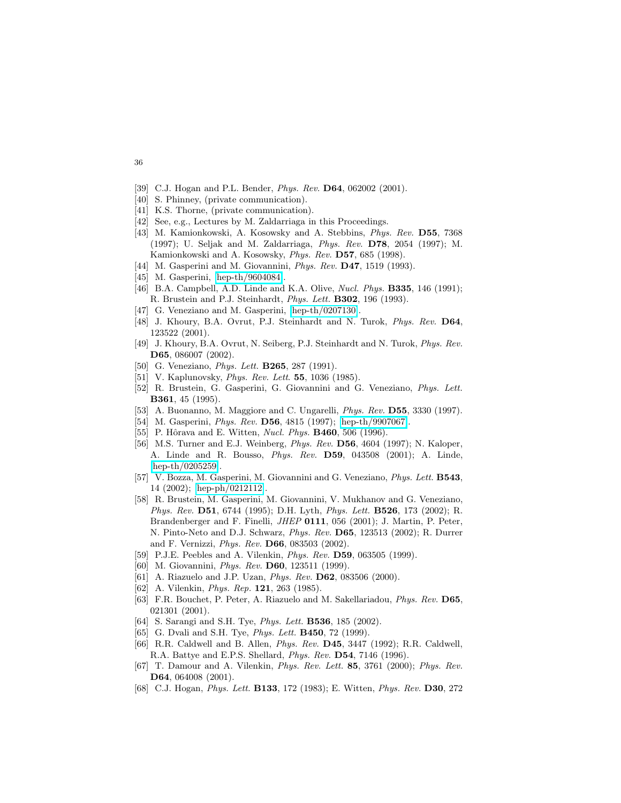- <span id="page-35-1"></span><span id="page-35-0"></span>[39] C.J. Hogan and P.L. Bender, *Phys. Rev.* D64, 062002 (2001).
- <span id="page-35-2"></span>[40] S. Phinney, (private communication).
- <span id="page-35-3"></span>[41] K.S. Thorne, (private communication).
- <span id="page-35-4"></span>[42] See, e.g., Lectures by M. Zaldarriaga in this Proceedings.
- [43] M. Kamionkowski, A. Kosowsky and A. Stebbins, *Phys. Rev.* D55, 7368 (1997); U. Seljak and M. Zaldarriaga, *Phys. Rev.* D78, 2054 (1997); M. Kamionkowski and A. Kosowsky, *Phys. Rev.* D57, 685 (1998).
- <span id="page-35-6"></span><span id="page-35-5"></span>[44] M. Gasperini and M. Giovannini, *Phys. Rev.* D47, 1519 (1993).
- <span id="page-35-8"></span>[45] M. Gasperini, [\[hep-th/9604084\]](http://arxiv.org/abs/hep-th/9604084).
- <span id="page-35-9"></span>[46] B.A. Campbell, A.D. Linde and K.A. Olive, *Nucl. Phys.* B335, 146 (1991); R. Brustein and P.J. Steinhardt, *Phys. Lett.* B302, 196 (1993).
- <span id="page-35-10"></span>[47] G. Veneziano and M. Gasperini, [\[hep-th/0207130\]](http://arxiv.org/abs/hep-th/0207130).
- [48] J. Khoury, B.A. Ovrut, P.J. Steinhardt and N. Turok, *Phys. Rev.* D64, 123522 (2001).
- <span id="page-35-11"></span>[49] J. Khoury, B.A. Ovrut, N. Seiberg, P.J. Steinhardt and N. Turok, *Phys. Rev.* D65, 086007 (2002).
- <span id="page-35-15"></span><span id="page-35-12"></span>[50] G. Veneziano, *Phys. Lett.* B265, 287 (1991).
- <span id="page-35-13"></span>[51] V. Kaplunovsky, *Phys. Rev. Lett*. 55, 1036 (1985).
- <span id="page-35-14"></span>[52] R. Brustein, G. Gasperini, G. Giovannini and G. Veneziano, *Phys. Lett.* B361, 45 (1995).
- <span id="page-35-7"></span>[53] A. Buonanno, M. Maggiore and C. Ungarelli, *Phys. Rev.* D55, 3330 (1997).
- <span id="page-35-16"></span>[54] M. Gasperini, *Phys. Rev.* D56, 4815 (1997); [\[hep-th/9907067\]](http://arxiv.org/abs/hep-th/9907067).
- <span id="page-35-17"></span>[55] P. Hôrava and E. Witten, *Nucl. Phys.* **B460**, 506 (1996).
- [56] M.S. Turner and E.J. Weinberg, *Phys. Rev.* D56, 4604 (1997); N. Kaloper, A. Linde and R. Bousso, *Phys. Rev.* D59, 043508 (2001); A. Linde, [\[hep-th/0205259\]](http://arxiv.org/abs/hep-th/0205259).
- <span id="page-35-18"></span>[57] V. Bozza, M. Gasperini, M. Giovannini and G. Veneziano, *Phys. Lett.* B543, 14 (2002); [\[hep-ph/0212112\]](http://arxiv.org/abs/hep-ph/0212112).
- <span id="page-35-19"></span>[58] R. Brustein, M. Gasperini, M. Giovannini, V. Mukhanov and G. Veneziano, *Phys. Rev.* D51, 6744 (1995); D.H. Lyth, *Phys. Lett.* B526, 173 (2002); R. Brandenberger and F. Finelli, *JHEP* 0111, 056 (2001); J. Martin, P. Peter, N. Pinto-Neto and D.J. Schwarz, *Phys. Rev.* D65, 123513 (2002); R. Durrer and F. Vernizzi, *Phys. Rev.* D66, 083503 (2002).
- <span id="page-35-21"></span><span id="page-35-20"></span>[59] P.J.E. Peebles and A. Vilenkin, *Phys. Rev.* D59, 063505 (1999).
- [60] M. Giovannini, *Phys. Rev.* D60, 123511 (1999).
- <span id="page-35-23"></span><span id="page-35-22"></span>[61] A. Riazuelo and J.P. Uzan, *Phys. Rev.* D62, 083506 (2000).
- <span id="page-35-24"></span>[62] A. Vilenkin, *Phys. Rep.* 121, 263 (1985).
- [63] F.R. Bouchet, P. Peter, A. Riazuelo and M. Sakellariadou, *Phys. Rev.* D65, 021301 (2001).
- <span id="page-35-26"></span><span id="page-35-25"></span>[64] S. Sarangi and S.H. Tye, *Phys. Lett.* B536, 185 (2002).
- <span id="page-35-27"></span>[65] G. Dvali and S.H. Tye, *Phys. Lett.* B450, 72 (1999).
- <span id="page-35-28"></span>[66] R.R. Caldwell and B. Allen, *Phys. Rev.* D45, 3447 (1992); R.R. Caldwell, R.A. Battye and E.P.S. Shellard, *Phys. Rev.* D54, 7146 (1996).
- [67] T. Damour and A. Vilenkin, *Phys. Rev. Lett.* 85, 3761 (2000); *Phys. Rev.* D64, 064008 (2001).
- <span id="page-35-29"></span>[68] C.J. Hogan, *Phys. Lett.* B133, 172 (1983); E. Witten, *Phys. Rev.* D30, 272